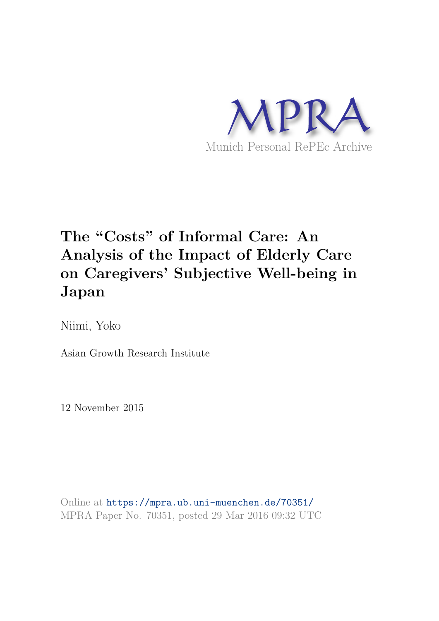

# **The "Costs" of Informal Care: An Analysis of the Impact of Elderly Care on Caregivers' Subjective Well-being in Japan**

Niimi, Yoko

Asian Growth Research Institute

12 November 2015

Online at https://mpra.ub.uni-muenchen.de/70351/ MPRA Paper No. 70351, posted 29 Mar 2016 09:32 UTC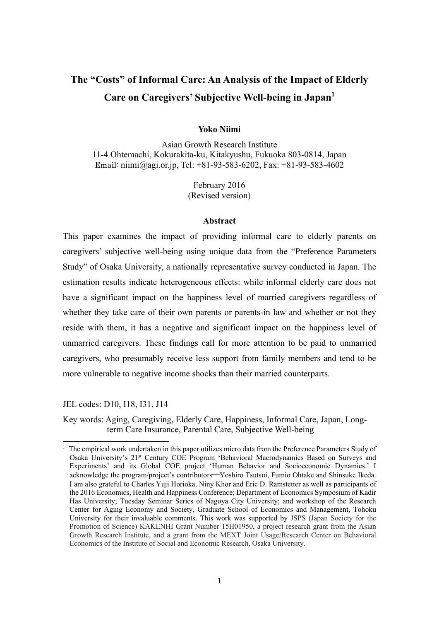# **The "Costs" of Informal Care: An Analysis of the Impact of Elderly Care on Caregivers' Subjective Well-being in Japan<sup>1</sup>**

# **Yoko Niimi**

Asian Growth Research Institute 11-4 Ohtemachi, Kokurakita-ku, Kitakyushu, Fukuoka 803-0814, Japan Email: niimi@agi.or.jp, Tel: +81-93-583-6202, Fax: +81-93-583-4602

> February 2016 (Revised version)

#### **Abstract**

This paper examines the impact of providing informal care to elderly parents on caregivers' subjective well-being using unique data from the "Preference Parameters Study" of Osaka University, a nationally representative survey conducted in Japan. The estimation results indicate heterogeneous effects: while informal elderly care does not have a significant impact on the happiness level of married caregivers regardless of whether they take care of their own parents or parents-in law and whether or not they reside with them, it has a negative and significant impact on the happiness level of unmarried caregivers. These findings call for more attention to be paid to unmarried caregivers, who presumably receive less support from family members and tend to be more vulnerable to negative income shocks than their married counterparts.

JEL codes: D10, I18, I31, J14

 $\overline{a}$ 

Key words: Aging, Caregiving, Elderly Care, Happiness, Informal Care, Japan, Longterm Care Insurance, Parental Care, Subjective Well-being

<sup>&</sup>lt;sup>1</sup> The empirical work undertaken in this paper utilizes micro data from the Preference Parameters Study of Osaka University's 21st Century COE Program 'Behavioral Macrodynamics Based on Surveys and Experiments' and its Global COE project 'Human Behavior and Socioeconomic Dynamics.' I acknowledge the program/project's contributors─Yoshiro Tsutsui, Fumio Ohtake and Shinsuke Ikeda. I am also grateful to Charles Yuji Horioka, Niny Khor and Eric D. Ramstetter as well as participants of the 2016 Economics, Health and Happiness Conference; Department of Economics Symposium of Kadir Has University; Tuesday Seminar Series of Nagoya City University; and workshop of the Research Center for Aging Economy and Society, Graduate School of Economics and Management, Tohoku University for their invaluable comments. This work was supported by JSPS (Japan Society for the Promotion of Science) KAKENHI Grant Number 15H01950, a project research grant from the Asian Growth Research Institute, and a grant from the MEXT Joint Usage/Research Center on Behavioral Economics of the Institute of Social and Economic Research, Osaka University.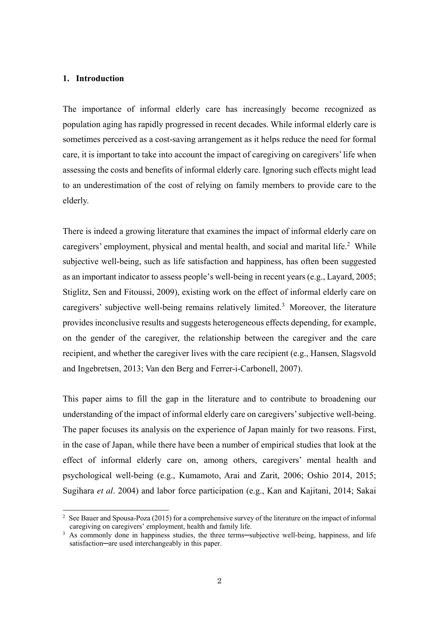#### **1. Introduction**

L

The importance of informal elderly care has increasingly become recognized as population aging has rapidly progressed in recent decades. While informal elderly care is sometimes perceived as a cost-saving arrangement as it helps reduce the need for formal care, it is important to take into account the impact of caregiving on caregivers' life when assessing the costs and benefits of informal elderly care. Ignoring such effects might lead to an underestimation of the cost of relying on family members to provide care to the elderly.

There is indeed a growing literature that examines the impact of informal elderly care on caregivers' employment, physical and mental health, and social and marital life.<sup>2</sup> While subjective well-being, such as life satisfaction and happiness, has often been suggested as an important indicator to assess people's well-being in recent years (e.g., Layard, 2005; Stiglitz, Sen and Fitoussi, 2009), existing work on the effect of informal elderly care on caregivers' subjective well-being remains relatively limited.<sup>3</sup> Moreover, the literature provides inconclusive results and suggests heterogeneous effects depending, for example, on the gender of the caregiver, the relationship between the caregiver and the care recipient, and whether the caregiver lives with the care recipient (e.g., Hansen, Slagsvold and Ingebretsen, 2013; Van den Berg and Ferrer-i-Carbonell, 2007).

This paper aims to fill the gap in the literature and to contribute to broadening our understanding of the impact of informal elderly care on caregivers' subjective well-being. The paper focuses its analysis on the experience of Japan mainly for two reasons. First, in the case of Japan, while there have been a number of empirical studies that look at the effect of informal elderly care on, among others, caregivers' mental health and psychological well-being (e.g., Kumamoto, Arai and Zarit, 2006; Oshio 2014, 2015; Sugihara *et al*. 2004) and labor force participation (e.g., Kan and Kajitani, 2014; Sakai

<sup>&</sup>lt;sup>2</sup> See Bauer and Spousa-Poza (2015) for a comprehensive survey of the literature on the impact of informal caregiving on caregivers' employment, health and family life.

<sup>&</sup>lt;sup>3</sup> As commonly done in happiness studies, the three terms—subjective well-being, happiness, and life satisfaction—are used interchangeably in this paper.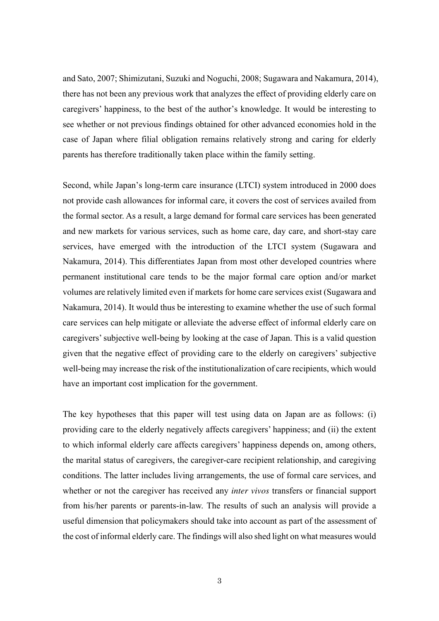and Sato, 2007; Shimizutani, Suzuki and Noguchi, 2008; Sugawara and Nakamura, 2014), there has not been any previous work that analyzes the effect of providing elderly care on caregivers' happiness, to the best of the author's knowledge. It would be interesting to see whether or not previous findings obtained for other advanced economies hold in the case of Japan where filial obligation remains relatively strong and caring for elderly parents has therefore traditionally taken place within the family setting.

Second, while Japan's long-term care insurance (LTCI) system introduced in 2000 does not provide cash allowances for informal care, it covers the cost of services availed from the formal sector. As a result, a large demand for formal care services has been generated and new markets for various services, such as home care, day care, and short-stay care services, have emerged with the introduction of the LTCI system (Sugawara and Nakamura, 2014). This differentiates Japan from most other developed countries where permanent institutional care tends to be the major formal care option and/or market volumes are relatively limited even if markets for home care services exist (Sugawara and Nakamura, 2014). It would thus be interesting to examine whether the use of such formal care services can help mitigate or alleviate the adverse effect of informal elderly care on caregivers' subjective well-being by looking at the case of Japan. This is a valid question given that the negative effect of providing care to the elderly on caregivers' subjective well-being may increase the risk of the institutionalization of care recipients, which would have an important cost implication for the government.

The key hypotheses that this paper will test using data on Japan are as follows: (i) providing care to the elderly negatively affects caregivers' happiness; and (ii) the extent to which informal elderly care affects caregivers' happiness depends on, among others, the marital status of caregivers, the caregiver-care recipient relationship, and caregiving conditions. The latter includes living arrangements, the use of formal care services, and whether or not the caregiver has received any *inter vivos* transfers or financial support from his/her parents or parents-in-law. The results of such an analysis will provide a useful dimension that policymakers should take into account as part of the assessment of the cost of informal elderly care. The findings will also shed light on what measures would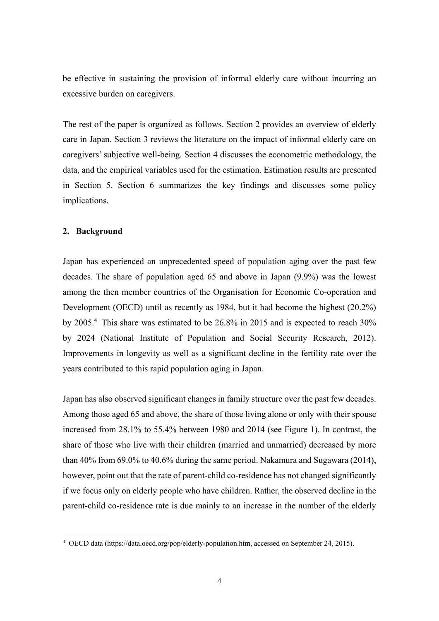be effective in sustaining the provision of informal elderly care without incurring an excessive burden on caregivers.

The rest of the paper is organized as follows. Section 2 provides an overview of elderly care in Japan. Section 3 reviews the literature on the impact of informal elderly care on caregivers' subjective well-being. Section 4 discusses the econometric methodology, the data, and the empirical variables used for the estimation. Estimation results are presented in Section 5. Section 6 summarizes the key findings and discusses some policy implications.

### **2. Background**

L

Japan has experienced an unprecedented speed of population aging over the past few decades. The share of population aged 65 and above in Japan (9.9%) was the lowest among the then member countries of the Organisation for Economic Co-operation and Development (OECD) until as recently as 1984, but it had become the highest (20.2%) by 2005.<sup>4</sup> This share was estimated to be 26.8% in 2015 and is expected to reach 30% by 2024 (National Institute of Population and Social Security Research, 2012). Improvements in longevity as well as a significant decline in the fertility rate over the years contributed to this rapid population aging in Japan.

Japan has also observed significant changes in family structure over the past few decades. Among those aged 65 and above, the share of those living alone or only with their spouse increased from 28.1% to 55.4% between 1980 and 2014 (see Figure 1). In contrast, the share of those who live with their children (married and unmarried) decreased by more than 40% from 69.0% to 40.6% during the same period. Nakamura and Sugawara (2014), however, point out that the rate of parent-child co-residence has not changed significantly if we focus only on elderly people who have children. Rather, the observed decline in the parent-child co-residence rate is due mainly to an increase in the number of the elderly

<sup>4</sup> OECD data (https://data.oecd.org/pop/elderly-population.htm, accessed on September 24, 2015).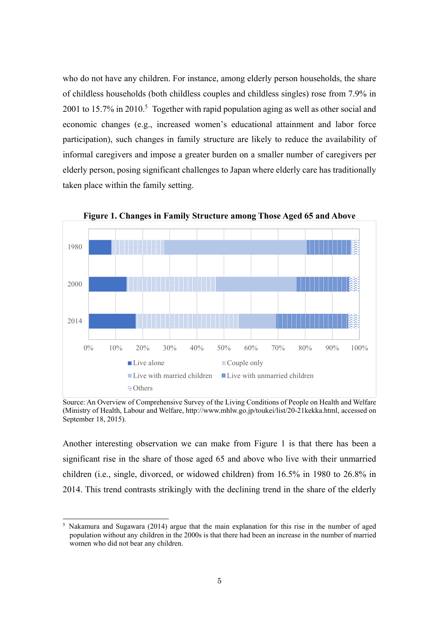who do not have any children. For instance, among elderly person households, the share of childless households (both childless couples and childless singles) rose from 7.9% in 2001 to 15.7% in 2010.<sup>5</sup> Together with rapid population aging as well as other social and economic changes (e.g., increased women's educational attainment and labor force participation), such changes in family structure are likely to reduce the availability of informal caregivers and impose a greater burden on a smaller number of caregivers per elderly person, posing significant challenges to Japan where elderly care has traditionally taken place within the family setting.



**Figure 1. Changes in Family Structure among Those Aged 65 and Above** 

Source: An Overview of Comprehensive Survey of the Living Conditions of People on Health and Welfare (Ministry of Health, Labour and Welfare, http://www.mhlw.go.jp/toukei/list/20-21kekka.html, accessed on September 18, 2015).

Another interesting observation we can make from Figure 1 is that there has been a significant rise in the share of those aged 65 and above who live with their unmarried children (i.e., single, divorced, or widowed children) from 16.5% in 1980 to 26.8% in 2014. This trend contrasts strikingly with the declining trend in the share of the elderly

 $\overline{a}$ 

<sup>5</sup> Nakamura and Sugawara (2014) argue that the main explanation for this rise in the number of aged population without any children in the 2000s is that there had been an increase in the number of married women who did not bear any children.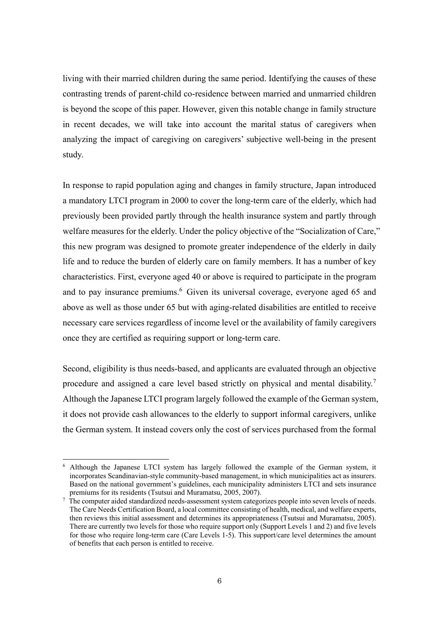living with their married children during the same period. Identifying the causes of these contrasting trends of parent-child co-residence between married and unmarried children is beyond the scope of this paper. However, given this notable change in family structure in recent decades, we will take into account the marital status of caregivers when analyzing the impact of caregiving on caregivers' subjective well-being in the present study.

In response to rapid population aging and changes in family structure, Japan introduced a mandatory LTCI program in 2000 to cover the long-term care of the elderly, which had previously been provided partly through the health insurance system and partly through welfare measures for the elderly. Under the policy objective of the "Socialization of Care," this new program was designed to promote greater independence of the elderly in daily life and to reduce the burden of elderly care on family members. It has a number of key characteristics. First, everyone aged 40 or above is required to participate in the program and to pay insurance premiums.<sup>6</sup> Given its universal coverage, everyone aged 65 and above as well as those under 65 but with aging-related disabilities are entitled to receive necessary care services regardless of income level or the availability of family caregivers once they are certified as requiring support or long-term care.

Second, eligibility is thus needs-based, and applicants are evaluated through an objective procedure and assigned a care level based strictly on physical and mental disability.<sup>7</sup> Although the Japanese LTCI program largely followed the example of the German system, it does not provide cash allowances to the elderly to support informal caregivers, unlike the German system. It instead covers only the cost of services purchased from the formal

L

<sup>&</sup>lt;sup>6</sup> Although the Japanese LTCI system has largely followed the example of the German system, it incorporates Scandinavian-style community-based management, in which municipalities act as insurers. Based on the national government's guidelines, each municipality administers LTCI and sets insurance premiums for its residents (Tsutsui and Muramatsu, 2005, 2007).

<sup>&</sup>lt;sup>7</sup> The computer aided standardized needs-assessment system categorizes people into seven levels of needs. The Care Needs Certification Board, a local committee consisting of health, medical, and welfare experts, then reviews this initial assessment and determines its appropriateness (Tsutsui and Muramatsu, 2005). There are currently two levels for those who require support only (Support Levels 1 and 2) and five levels for those who require long-term care (Care Levels 1-5). This support/care level determines the amount of benefits that each person is entitled to receive.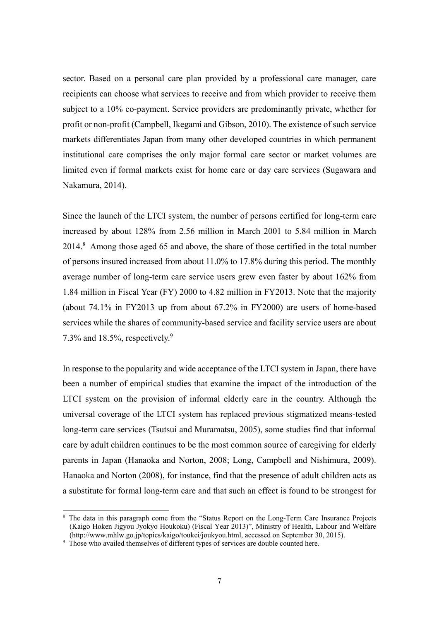sector. Based on a personal care plan provided by a professional care manager, care recipients can choose what services to receive and from which provider to receive them subject to a 10% co-payment. Service providers are predominantly private, whether for profit or non-profit (Campbell, Ikegami and Gibson, 2010). The existence of such service markets differentiates Japan from many other developed countries in which permanent institutional care comprises the only major formal care sector or market volumes are limited even if formal markets exist for home care or day care services (Sugawara and Nakamura, 2014).

Since the launch of the LTCI system, the number of persons certified for long-term care increased by about 128% from 2.56 million in March 2001 to 5.84 million in March 2014.<sup>8</sup> Among those aged 65 and above, the share of those certified in the total number of persons insured increased from about 11.0% to 17.8% during this period. The monthly average number of long-term care service users grew even faster by about 162% from 1.84 million in Fiscal Year (FY) 2000 to 4.82 million in FY2013. Note that the majority (about 74.1% in FY2013 up from about 67.2% in FY2000) are users of home-based services while the shares of community-based service and facility service users are about 7.3% and 18.5%, respectively.<sup>9</sup>

In response to the popularity and wide acceptance of the LTCI system in Japan, there have been a number of empirical studies that examine the impact of the introduction of the LTCI system on the provision of informal elderly care in the country. Although the universal coverage of the LTCI system has replaced previous stigmatized means-tested long-term care services (Tsutsui and Muramatsu, 2005), some studies find that informal care by adult children continues to be the most common source of caregiving for elderly parents in Japan (Hanaoka and Norton, 2008; Long, Campbell and Nishimura, 2009). Hanaoka and Norton (2008), for instance, find that the presence of adult children acts as a substitute for formal long-term care and that such an effect is found to be strongest for

L

<sup>&</sup>lt;sup>8</sup> The data in this paragraph come from the "Status Report on the Long-Term Care Insurance Projects (Kaigo Hoken Jigyou Jyokyo Houkoku) (Fiscal Year 2013)", Ministry of Health, Labour and Welfare (http://www.mhlw.go.jp/topics/kaigo/toukei/joukyou.html, accessed on September 30, 2015).

<sup>&</sup>lt;sup>9</sup> Those who availed themselves of different types of services are double counted here.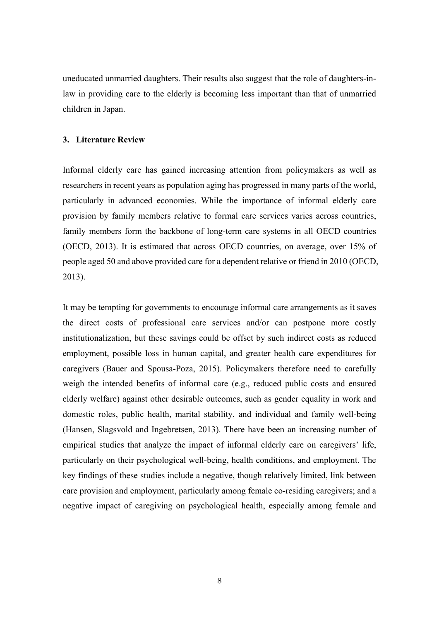uneducated unmarried daughters. Their results also suggest that the role of daughters-inlaw in providing care to the elderly is becoming less important than that of unmarried children in Japan.

#### **3. Literature Review**

Informal elderly care has gained increasing attention from policymakers as well as researchers in recent years as population aging has progressed in many parts of the world, particularly in advanced economies. While the importance of informal elderly care provision by family members relative to formal care services varies across countries, family members form the backbone of long-term care systems in all OECD countries (OECD, 2013). It is estimated that across OECD countries, on average, over 15% of people aged 50 and above provided care for a dependent relative or friend in 2010 (OECD, 2013).

It may be tempting for governments to encourage informal care arrangements as it saves the direct costs of professional care services and/or can postpone more costly institutionalization, but these savings could be offset by such indirect costs as reduced employment, possible loss in human capital, and greater health care expenditures for caregivers (Bauer and Spousa-Poza, 2015). Policymakers therefore need to carefully weigh the intended benefits of informal care (e.g., reduced public costs and ensured elderly welfare) against other desirable outcomes, such as gender equality in work and domestic roles, public health, marital stability, and individual and family well-being (Hansen, Slagsvold and Ingebretsen, 2013). There have been an increasing number of empirical studies that analyze the impact of informal elderly care on caregivers' life, particularly on their psychological well-being, health conditions, and employment. The key findings of these studies include a negative, though relatively limited, link between care provision and employment, particularly among female co-residing caregivers; and a negative impact of caregiving on psychological health, especially among female and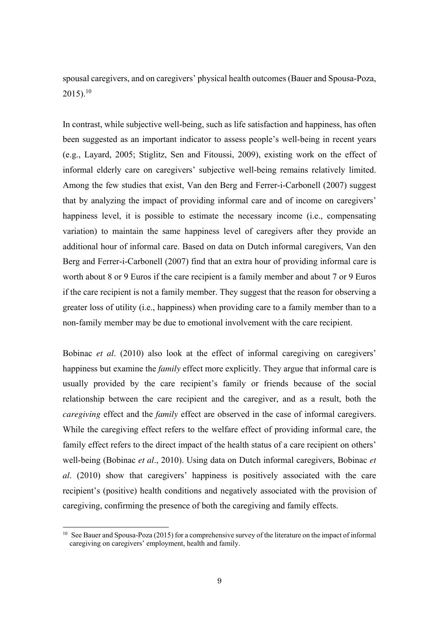spousal caregivers, and on caregivers' physical health outcomes (Bauer and Spousa-Poza,  $2015$ ).<sup>10</sup>

In contrast, while subjective well-being, such as life satisfaction and happiness, has often been suggested as an important indicator to assess people's well-being in recent years (e.g., Layard, 2005; Stiglitz, Sen and Fitoussi, 2009), existing work on the effect of informal elderly care on caregivers' subjective well-being remains relatively limited. Among the few studies that exist, Van den Berg and Ferrer-i-Carbonell (2007) suggest that by analyzing the impact of providing informal care and of income on caregivers' happiness level, it is possible to estimate the necessary income (i.e., compensating variation) to maintain the same happiness level of caregivers after they provide an additional hour of informal care. Based on data on Dutch informal caregivers, Van den Berg and Ferrer-i-Carbonell (2007) find that an extra hour of providing informal care is worth about 8 or 9 Euros if the care recipient is a family member and about 7 or 9 Euros if the care recipient is not a family member. They suggest that the reason for observing a greater loss of utility (i.e., happiness) when providing care to a family member than to a non-family member may be due to emotional involvement with the care recipient.

Bobinac *et al*. (2010) also look at the effect of informal caregiving on caregivers' happiness but examine the *family* effect more explicitly. They argue that informal care is usually provided by the care recipient's family or friends because of the social relationship between the care recipient and the caregiver, and as a result, both the *caregiving* effect and the *family* effect are observed in the case of informal caregivers. While the caregiving effect refers to the welfare effect of providing informal care, the family effect refers to the direct impact of the health status of a care recipient on others' well-being (Bobinac *et al*., 2010). Using data on Dutch informal caregivers, Bobinac *et al*. (2010) show that caregivers' happiness is positively associated with the care recipient's (positive) health conditions and negatively associated with the provision of caregiving, confirming the presence of both the caregiving and family effects.

 $\overline{a}$ 

<sup>10</sup> See Bauer and Spousa-Poza (2015) for a comprehensive survey of the literature on the impact of informal caregiving on caregivers' employment, health and family.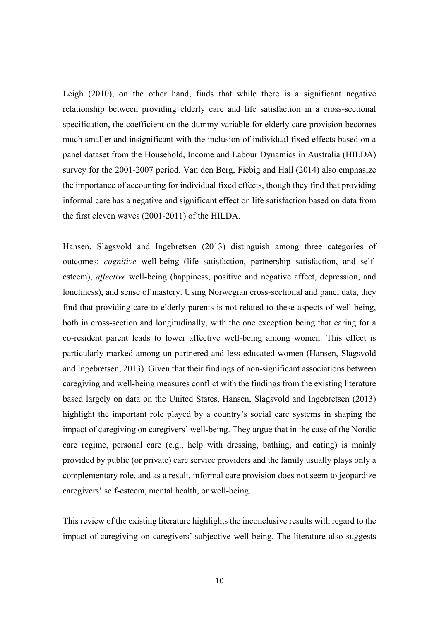Leigh (2010), on the other hand, finds that while there is a significant negative relationship between providing elderly care and life satisfaction in a cross-sectional specification, the coefficient on the dummy variable for elderly care provision becomes much smaller and insignificant with the inclusion of individual fixed effects based on a panel dataset from the Household, Income and Labour Dynamics in Australia (HILDA) survey for the 2001-2007 period. Van den Berg, Fiebig and Hall (2014) also emphasize the importance of accounting for individual fixed effects, though they find that providing informal care has a negative and significant effect on life satisfaction based on data from the first eleven waves (2001-2011) of the HILDA.

Hansen, Slagsvold and Ingebretsen (2013) distinguish among three categories of outcomes: *cognitive* well-being (life satisfaction, partnership satisfaction, and selfesteem), *affective* well-being (happiness, positive and negative affect, depression, and loneliness), and sense of mastery. Using Norwegian cross-sectional and panel data, they find that providing care to elderly parents is not related to these aspects of well-being, both in cross-section and longitudinally, with the one exception being that caring for a co-resident parent leads to lower affective well-being among women. This effect is particularly marked among un-partnered and less educated women (Hansen, Slagsvold and Ingebretsen, 2013). Given that their findings of non-significant associations between caregiving and well-being measures conflict with the findings from the existing literature based largely on data on the United States, Hansen, Slagsvold and Ingebretsen (2013) highlight the important role played by a country's social care systems in shaping the impact of caregiving on caregivers' well-being. They argue that in the case of the Nordic care regime, personal care (e.g., help with dressing, bathing, and eating) is mainly provided by public (or private) care service providers and the family usually plays only a complementary role, and as a result, informal care provision does not seem to jeopardize caregivers' self-esteem, mental health, or well-being.

This review of the existing literature highlights the inconclusive results with regard to the impact of caregiving on caregivers' subjective well-being. The literature also suggests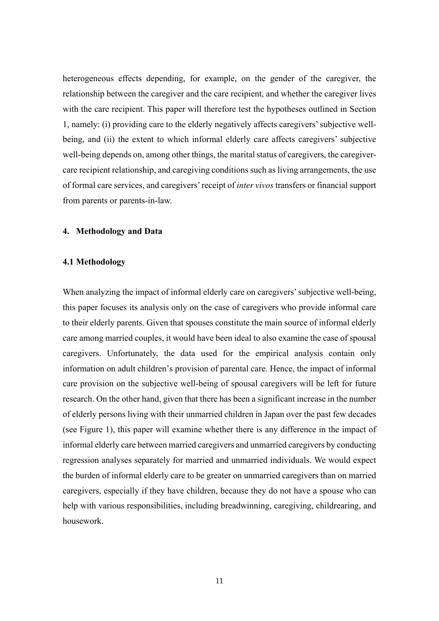heterogeneous effects depending, for example, on the gender of the caregiver, the relationship between the caregiver and the care recipient, and whether the caregiver lives with the care recipient. This paper will therefore test the hypotheses outlined in Section 1, namely: (i) providing care to the elderly negatively affects caregivers' subjective wellbeing, and (ii) the extent to which informal elderly care affects caregivers' subjective well-being depends on, among other things, the marital status of caregivers, the caregivercare recipient relationship, and caregiving conditions such as living arrangements, the use of formal care services, and caregivers' receipt of *inter vivos* transfers or financial support from parents or parents-in-law.

#### **4. Methodology and Data**

# **4.1 Methodology**

When analyzing the impact of informal elderly care on caregivers' subjective well-being, this paper focuses its analysis only on the case of caregivers who provide informal care to their elderly parents. Given that spouses constitute the main source of informal elderly care among married couples, it would have been ideal to also examine the case of spousal caregivers. Unfortunately, the data used for the empirical analysis contain only information on adult children's provision of parental care. Hence, the impact of informal care provision on the subjective well-being of spousal caregivers will be left for future research. On the other hand, given that there has been a significant increase in the number of elderly persons living with their unmarried children in Japan over the past few decades (see Figure 1), this paper will examine whether there is any difference in the impact of informal elderly care between married caregivers and unmarried caregivers by conducting regression analyses separately for married and unmarried individuals. We would expect the burden of informal elderly care to be greater on unmarried caregivers than on married caregivers, especially if they have children, because they do not have a spouse who can help with various responsibilities, including breadwinning, caregiving, childrearing, and housework.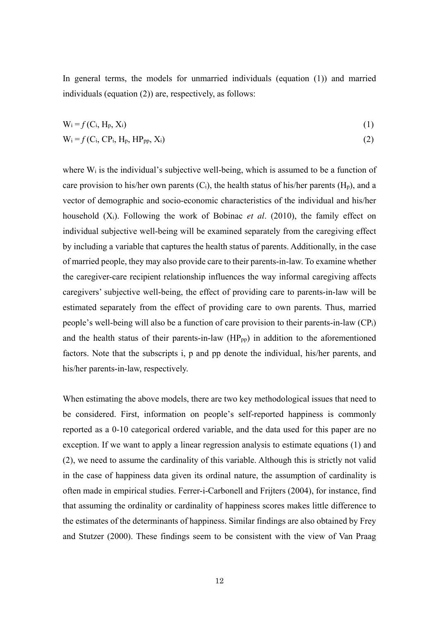In general terms, the models for unmarried individuals (equation (1)) and married individuals (equation (2)) are, respectively, as follows:

$$
W_i = f(C_i, H_p, X_i)
$$
 (1)

$$
W_i = f(C_i, CP_i, H_p, HP_{pp}, X_i)
$$
 (2)

where  $W_i$  is the individual's subjective well-being, which is assumed to be a function of care provision to his/her own parents  $(C_i)$ , the health status of his/her parents  $(H_p)$ , and a vector of demographic and socio-economic characteristics of the individual and his/her household (Xi). Following the work of Bobinac *et al*. (2010), the family effect on individual subjective well-being will be examined separately from the caregiving effect by including a variable that captures the health status of parents. Additionally, in the case of married people, they may also provide care to their parents-in-law. To examine whether the caregiver-care recipient relationship influences the way informal caregiving affects caregivers' subjective well-being, the effect of providing care to parents-in-law will be estimated separately from the effect of providing care to own parents. Thus, married people's well-being will also be a function of care provision to their parents-in-law (CPi) and the health status of their parents-in-law  $(HP_{pp})$  in addition to the aforementioned factors. Note that the subscripts i, p and pp denote the individual, his/her parents, and his/her parents-in-law, respectively.

When estimating the above models, there are two key methodological issues that need to be considered. First, information on people's self-reported happiness is commonly reported as a 0-10 categorical ordered variable, and the data used for this paper are no exception. If we want to apply a linear regression analysis to estimate equations (1) and (2), we need to assume the cardinality of this variable. Although this is strictly not valid in the case of happiness data given its ordinal nature, the assumption of cardinality is often made in empirical studies. Ferrer-i-Carbonell and Frijters (2004), for instance, find that assuming the ordinality or cardinality of happiness scores makes little difference to the estimates of the determinants of happiness. Similar findings are also obtained by Frey and Stutzer (2000). These findings seem to be consistent with the view of Van Praag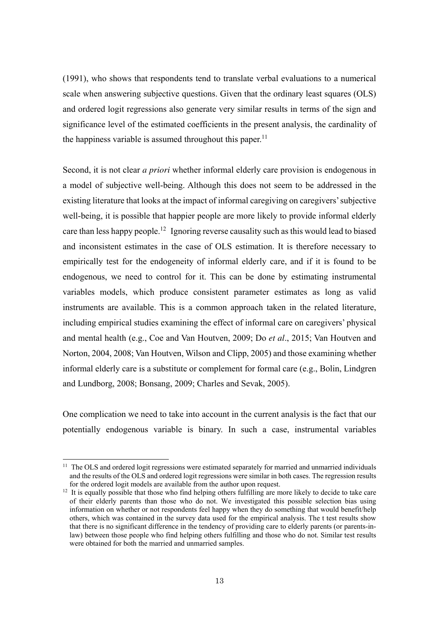(1991), who shows that respondents tend to translate verbal evaluations to a numerical scale when answering subjective questions. Given that the ordinary least squares (OLS) and ordered logit regressions also generate very similar results in terms of the sign and significance level of the estimated coefficients in the present analysis, the cardinality of the happiness variable is assumed throughout this paper.<sup>11</sup>

Second, it is not clear *a priori* whether informal elderly care provision is endogenous in a model of subjective well-being. Although this does not seem to be addressed in the existing literature that looks at the impact of informal caregiving on caregivers' subjective well-being, it is possible that happier people are more likely to provide informal elderly care than less happy people.<sup>12</sup> Ignoring reverse causality such as this would lead to biased and inconsistent estimates in the case of OLS estimation. It is therefore necessary to empirically test for the endogeneity of informal elderly care, and if it is found to be endogenous, we need to control for it. This can be done by estimating instrumental variables models, which produce consistent parameter estimates as long as valid instruments are available. This is a common approach taken in the related literature, including empirical studies examining the effect of informal care on caregivers' physical and mental health (e.g., Coe and Van Houtven, 2009; Do *et al*., 2015; Van Houtven and Norton, 2004, 2008; Van Houtven, Wilson and Clipp, 2005) and those examining whether informal elderly care is a substitute or complement for formal care (e.g., Bolin, Lindgren and Lundborg, 2008; Bonsang, 2009; Charles and Sevak, 2005).

One complication we need to take into account in the current analysis is the fact that our potentially endogenous variable is binary. In such a case, instrumental variables

L

<sup>&</sup>lt;sup>11</sup> The OLS and ordered logit regressions were estimated separately for married and unmarried individuals and the results of the OLS and ordered logit regressions were similar in both cases. The regression results for the ordered logit models are available from the author upon request.

<sup>&</sup>lt;sup>12</sup> It is equally possible that those who find helping others fulfilling are more likely to decide to take care of their elderly parents than those who do not. We investigated this possible selection bias using information on whether or not respondents feel happy when they do something that would benefit/help others, which was contained in the survey data used for the empirical analysis. The t test results show that there is no significant difference in the tendency of providing care to elderly parents (or parents-inlaw) between those people who find helping others fulfilling and those who do not. Similar test results were obtained for both the married and unmarried samples.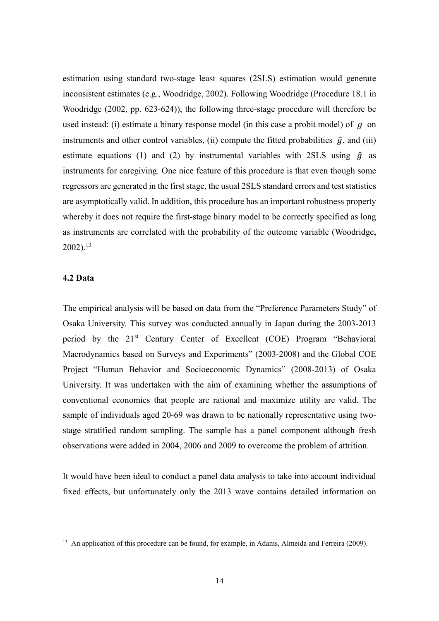estimation using standard two-stage least squares (2SLS) estimation would generate inconsistent estimates (e.g., Woodridge, 2002). Following Woodridge (Procedure 18.1 in Woodridge (2002, pp. 623-624)), the following three-stage procedure will therefore be used instead: (i) estimate a binary response model (in this case a probit model) of  $q$  on instruments and other control variables, (ii) compute the fitted probabilities  $\hat{g}$ , and (iii) estimate equations (1) and (2) by instrumental variables with 2SLS using  $\hat{g}$  as instruments for caregiving. One nice feature of this procedure is that even though some regressors are generated in the first stage, the usual 2SLS standard errors and test statistics are asymptotically valid. In addition, this procedure has an important robustness property whereby it does not require the first-stage binary model to be correctly specified as long as instruments are correlated with the probability of the outcome variable (Woodridge,  $2002$ ).<sup>13</sup>

# **4.2 Data**

L

The empirical analysis will be based on data from the "Preference Parameters Study" of Osaka University. This survey was conducted annually in Japan during the 2003-2013 period by the 21st Century Center of Excellent (COE) Program "Behavioral Macrodynamics based on Surveys and Experiments" (2003-2008) and the Global COE Project "Human Behavior and Socioeconomic Dynamics" (2008-2013) of Osaka University. It was undertaken with the aim of examining whether the assumptions of conventional economics that people are rational and maximize utility are valid. The sample of individuals aged 20-69 was drawn to be nationally representative using twostage stratified random sampling. The sample has a panel component although fresh observations were added in 2004, 2006 and 2009 to overcome the problem of attrition.

It would have been ideal to conduct a panel data analysis to take into account individual fixed effects, but unfortunately only the 2013 wave contains detailed information on

<sup>&</sup>lt;sup>13</sup> An application of this procedure can be found, for example, in Adams, Almeida and Ferreira (2009).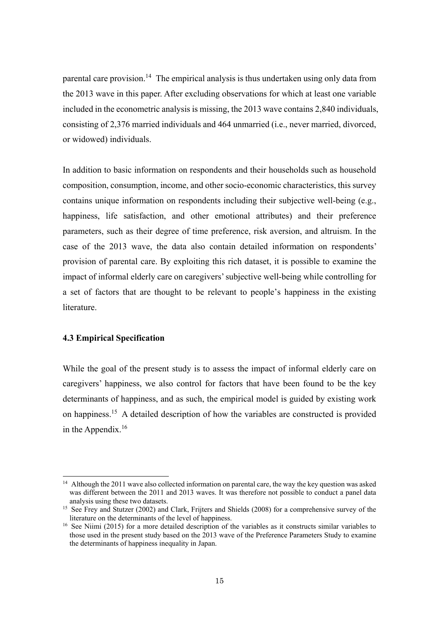parental care provision.<sup>14</sup> The empirical analysis is thus undertaken using only data from the 2013 wave in this paper. After excluding observations for which at least one variable included in the econometric analysis is missing, the 2013 wave contains 2,840 individuals, consisting of 2,376 married individuals and 464 unmarried (i.e., never married, divorced, or widowed) individuals.

In addition to basic information on respondents and their households such as household composition, consumption, income, and other socio-economic characteristics, this survey contains unique information on respondents including their subjective well-being (e.g., happiness, life satisfaction, and other emotional attributes) and their preference parameters, such as their degree of time preference, risk aversion, and altruism. In the case of the 2013 wave, the data also contain detailed information on respondents' provision of parental care. By exploiting this rich dataset, it is possible to examine the impact of informal elderly care on caregivers' subjective well-being while controlling for a set of factors that are thought to be relevant to people's happiness in the existing literature.

# **4.3 Empirical Specification**

L

While the goal of the present study is to assess the impact of informal elderly care on caregivers' happiness, we also control for factors that have been found to be the key determinants of happiness, and as such, the empirical model is guided by existing work on happiness.<sup>15</sup> A detailed description of how the variables are constructed is provided in the Appendix. $16$ 

<sup>&</sup>lt;sup>14</sup> Although the 2011 wave also collected information on parental care, the way the key question was asked was different between the 2011 and 2013 waves. It was therefore not possible to conduct a panel data analysis using these two datasets.

<sup>&</sup>lt;sup>15</sup> See Frey and Stutzer (2002) and Clark, Frijters and Shields (2008) for a comprehensive survey of the literature on the determinants of the level of happiness.

<sup>&</sup>lt;sup>16</sup> See Niimi (2015) for a more detailed description of the variables as it constructs similar variables to those used in the present study based on the 2013 wave of the Preference Parameters Study to examine the determinants of happiness inequality in Japan.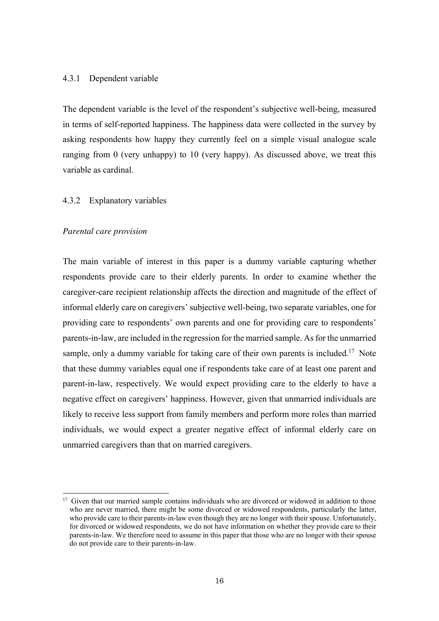#### 4.3.1 Dependent variable

The dependent variable is the level of the respondent's subjective well-being, measured in terms of self-reported happiness. The happiness data were collected in the survey by asking respondents how happy they currently feel on a simple visual analogue scale ranging from 0 (very unhappy) to 10 (very happy). As discussed above, we treat this variable as cardinal.

#### 4.3.2 Explanatory variables

#### *Parental care provision*

 $\overline{a}$ 

The main variable of interest in this paper is a dummy variable capturing whether respondents provide care to their elderly parents. In order to examine whether the caregiver-care recipient relationship affects the direction and magnitude of the effect of informal elderly care on caregivers' subjective well-being, two separate variables, one for providing care to respondents' own parents and one for providing care to respondents' parents-in-law, are included in the regression for the married sample. As for the unmarried sample, only a dummy variable for taking care of their own parents is included.<sup>17</sup> Note that these dummy variables equal one if respondents take care of at least one parent and parent-in-law, respectively. We would expect providing care to the elderly to have a negative effect on caregivers' happiness. However, given that unmarried individuals are likely to receive less support from family members and perform more roles than married individuals, we would expect a greater negative effect of informal elderly care on unmarried caregivers than that on married caregivers.

<sup>&</sup>lt;sup>17</sup> Given that our married sample contains individuals who are divorced or widowed in addition to those who are never married, there might be some divorced or widowed respondents, particularly the latter, who provide care to their parents-in-law even though they are no longer with their spouse. Unfortunately, for divorced or widowed respondents, we do not have information on whether they provide care to their parents-in-law. We therefore need to assume in this paper that those who are no longer with their spouse do not provide care to their parents-in-law.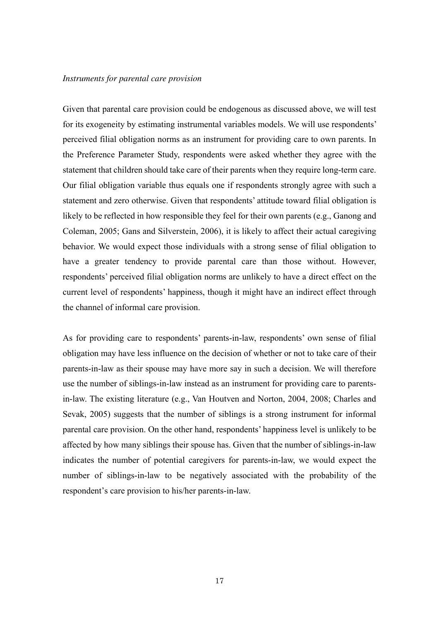#### *Instruments for parental care provision*

Given that parental care provision could be endogenous as discussed above, we will test for its exogeneity by estimating instrumental variables models. We will use respondents' perceived filial obligation norms as an instrument for providing care to own parents. In the Preference Parameter Study, respondents were asked whether they agree with the statement that children should take care of their parents when they require long-term care. Our filial obligation variable thus equals one if respondents strongly agree with such a statement and zero otherwise. Given that respondents' attitude toward filial obligation is likely to be reflected in how responsible they feel for their own parents (e.g., Ganong and Coleman, 2005; Gans and Silverstein, 2006), it is likely to affect their actual caregiving behavior. We would expect those individuals with a strong sense of filial obligation to have a greater tendency to provide parental care than those without. However, respondents' perceived filial obligation norms are unlikely to have a direct effect on the current level of respondents' happiness, though it might have an indirect effect through the channel of informal care provision.

As for providing care to respondents' parents-in-law, respondents' own sense of filial obligation may have less influence on the decision of whether or not to take care of their parents-in-law as their spouse may have more say in such a decision. We will therefore use the number of siblings-in-law instead as an instrument for providing care to parentsin-law. The existing literature (e.g., Van Houtven and Norton, 2004, 2008; Charles and Sevak, 2005) suggests that the number of siblings is a strong instrument for informal parental care provision. On the other hand, respondents' happiness level is unlikely to be affected by how many siblings their spouse has. Given that the number of siblings-in-law indicates the number of potential caregivers for parents-in-law, we would expect the number of siblings-in-law to be negatively associated with the probability of the respondent's care provision to his/her parents-in-law.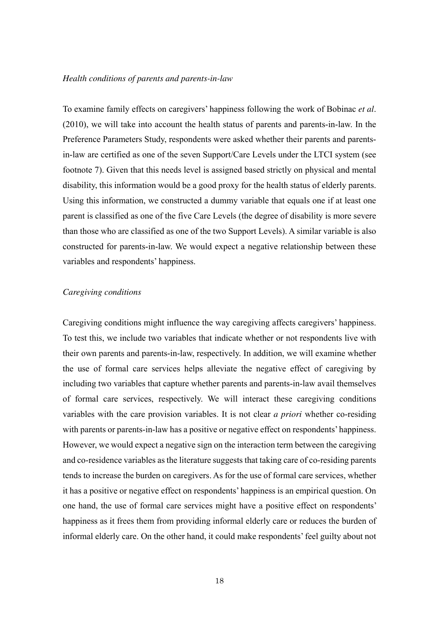#### *Health conditions of parents and parents-in-law*

To examine family effects on caregivers' happiness following the work of Bobinac *et al*. (2010), we will take into account the health status of parents and parents-in-law. In the Preference Parameters Study, respondents were asked whether their parents and parentsin-law are certified as one of the seven Support/Care Levels under the LTCI system (see footnote 7). Given that this needs level is assigned based strictly on physical and mental disability, this information would be a good proxy for the health status of elderly parents. Using this information, we constructed a dummy variable that equals one if at least one parent is classified as one of the five Care Levels (the degree of disability is more severe than those who are classified as one of the two Support Levels). A similar variable is also constructed for parents-in-law. We would expect a negative relationship between these variables and respondents' happiness.

#### *Caregiving conditions*

Caregiving conditions might influence the way caregiving affects caregivers' happiness. To test this, we include two variables that indicate whether or not respondents live with their own parents and parents-in-law, respectively. In addition, we will examine whether the use of formal care services helps alleviate the negative effect of caregiving by including two variables that capture whether parents and parents-in-law avail themselves of formal care services, respectively. We will interact these caregiving conditions variables with the care provision variables. It is not clear *a priori* whether co-residing with parents or parents-in-law has a positive or negative effect on respondents' happiness. However, we would expect a negative sign on the interaction term between the caregiving and co-residence variables as the literature suggests that taking care of co-residing parents tends to increase the burden on caregivers. As for the use of formal care services, whether it has a positive or negative effect on respondents' happiness is an empirical question. On one hand, the use of formal care services might have a positive effect on respondents' happiness as it frees them from providing informal elderly care or reduces the burden of informal elderly care. On the other hand, it could make respondents' feel guilty about not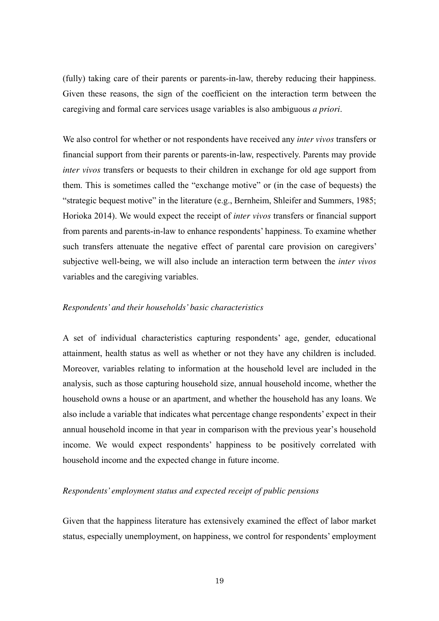(fully) taking care of their parents or parents-in-law, thereby reducing their happiness. Given these reasons, the sign of the coefficient on the interaction term between the caregiving and formal care services usage variables is also ambiguous *a priori*.

We also control for whether or not respondents have received any *inter vivos* transfers or financial support from their parents or parents-in-law, respectively. Parents may provide *inter vivos* transfers or bequests to their children in exchange for old age support from them. This is sometimes called the "exchange motive" or (in the case of bequests) the "strategic bequest motive" in the literature (e.g., Bernheim, Shleifer and Summers, 1985; Horioka 2014). We would expect the receipt of *inter vivos* transfers or financial support from parents and parents-in-law to enhance respondents' happiness. To examine whether such transfers attenuate the negative effect of parental care provision on caregivers' subjective well-being, we will also include an interaction term between the *inter vivos* variables and the caregiving variables.

#### *Respondents' and their households' basic characteristics*

A set of individual characteristics capturing respondents' age, gender, educational attainment, health status as well as whether or not they have any children is included. Moreover, variables relating to information at the household level are included in the analysis, such as those capturing household size, annual household income, whether the household owns a house or an apartment, and whether the household has any loans. We also include a variable that indicates what percentage change respondents' expect in their annual household income in that year in comparison with the previous year's household income. We would expect respondents' happiness to be positively correlated with household income and the expected change in future income.

# *Respondents' employment status and expected receipt of public pensions*

Given that the happiness literature has extensively examined the effect of labor market status, especially unemployment, on happiness, we control for respondents' employment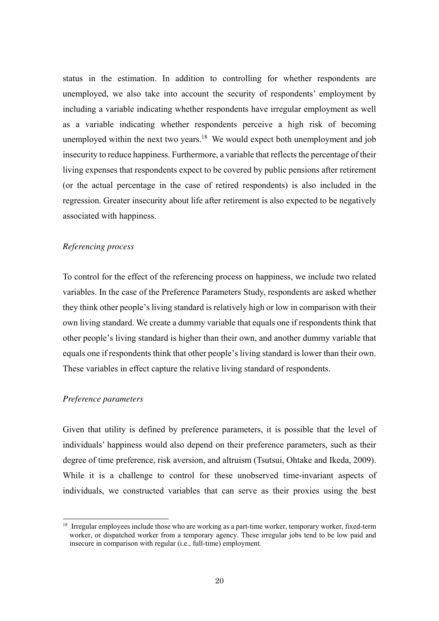status in the estimation. In addition to controlling for whether respondents are unemployed, we also take into account the security of respondents' employment by including a variable indicating whether respondents have irregular employment as well as a variable indicating whether respondents perceive a high risk of becoming unemployed within the next two years.<sup>18</sup> We would expect both unemployment and job insecurity to reduce happiness. Furthermore, a variable that reflects the percentage of their living expenses that respondents expect to be covered by public pensions after retirement (or the actual percentage in the case of retired respondents) is also included in the regression. Greater insecurity about life after retirement is also expected to be negatively associated with happiness.

### *Referencing process*

To control for the effect of the referencing process on happiness, we include two related variables. In the case of the Preference Parameters Study, respondents are asked whether they think other people's living standard is relatively high or low in comparison with their own living standard. We create a dummy variable that equals one if respondents think that other people's living standard is higher than their own, and another dummy variable that equals one if respondents think that other people's living standard is lower than their own. These variables in effect capture the relative living standard of respondents.

#### *Preference parameters*

 $\overline{a}$ 

Given that utility is defined by preference parameters, it is possible that the level of individuals' happiness would also depend on their preference parameters, such as their degree of time preference, risk aversion, and altruism (Tsutsui, Ohtake and Ikeda, 2009). While it is a challenge to control for these unobserved time-invariant aspects of individuals, we constructed variables that can serve as their proxies using the best

<sup>&</sup>lt;sup>18</sup> Irregular employees include those who are working as a part-time worker, temporary worker, fixed-term worker, or dispatched worker from a temporary agency. These irregular jobs tend to be low paid and insecure in comparison with regular (i.e., full-time) employment.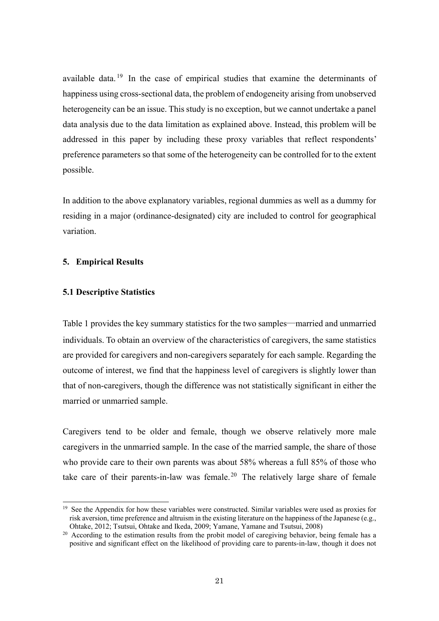available data.<sup>19</sup> In the case of empirical studies that examine the determinants of happiness using cross-sectional data, the problem of endogeneity arising from unobserved heterogeneity can be an issue. This study is no exception, but we cannot undertake a panel data analysis due to the data limitation as explained above. Instead, this problem will be addressed in this paper by including these proxy variables that reflect respondents' preference parameters so that some of the heterogeneity can be controlled for to the extent possible.

In addition to the above explanatory variables, regional dummies as well as a dummy for residing in a major (ordinance-designated) city are included to control for geographical variation.

# **5. Empirical Results**

# **5.1 Descriptive Statistics**

L

Table 1 provides the key summary statistics for the two samples―married and unmarried individuals. To obtain an overview of the characteristics of caregivers, the same statistics are provided for caregivers and non-caregivers separately for each sample. Regarding the outcome of interest, we find that the happiness level of caregivers is slightly lower than that of non-caregivers, though the difference was not statistically significant in either the married or unmarried sample.

Caregivers tend to be older and female, though we observe relatively more male caregivers in the unmarried sample. In the case of the married sample, the share of those who provide care to their own parents was about 58% whereas a full 85% of those who take care of their parents-in-law was female.<sup>20</sup> The relatively large share of female

 $19$  See the Appendix for how these variables were constructed. Similar variables were used as proxies for risk aversion, time preference and altruism in the existing literature on the happiness of the Japanese (e.g., Ohtake, 2012; Tsutsui, Ohtake and Ikeda, 2009; Yamane, Yamane and Tsutsui, 2008)

<sup>&</sup>lt;sup>20</sup> According to the estimation results from the probit model of caregiving behavior, being female has a positive and significant effect on the likelihood of providing care to parents-in-law, though it does not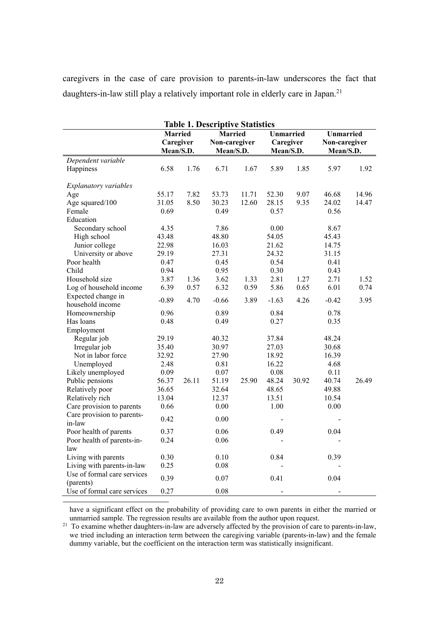caregivers in the case of care provision to parents-in-law underscores the fact that daughters-in-law still play a relatively important role in elderly care in Japan.<sup>21</sup>

| <b>Table 1. Descriptive Statistics</b> |                |       |                |       |                  |       |                  |       |  |
|----------------------------------------|----------------|-------|----------------|-------|------------------|-------|------------------|-------|--|
|                                        | <b>Married</b> |       | <b>Married</b> |       | <b>Unmarried</b> |       | <b>Unmarried</b> |       |  |
|                                        | Caregiver      |       | Non-caregiver  |       | Caregiver        |       | Non-caregiver    |       |  |
|                                        | Mean/S.D.      |       | Mean/S.D.      |       | Mean/S.D.        |       | Mean/S.D.        |       |  |
| Dependent variable                     |                |       |                |       |                  |       |                  |       |  |
| Happiness                              | 6.58           | 1.76  | 6.71           | 1.67  | 5.89             | 1.85  | 5.97             | 1.92  |  |
|                                        |                |       |                |       |                  |       |                  |       |  |
| Explanatory variables                  |                |       |                |       |                  |       |                  |       |  |
| Age                                    | 55.17          | 7.82  | 53.73          | 11.71 | 52.30            | 9.07  | 46.68            | 14.96 |  |
| Age squared/100                        | 31.05          | 8.50  | 30.23          | 12.60 | 28.15            | 9.35  | 24.02            | 14.47 |  |
| Female                                 | 0.69           |       | 0.49           |       | 0.57             |       | 0.56             |       |  |
| Education                              |                |       |                |       |                  |       |                  |       |  |
| Secondary school                       | 4.35           |       | 7.86           |       | $0.00\,$         |       | 8.67             |       |  |
| High school                            | 43.48          |       | 48.80          |       | 54.05            |       | 45.43            |       |  |
| Junior college                         | 22.98          |       | 16.03          |       | 21.62            |       | 14.75            |       |  |
| University or above                    | 29.19          |       | 27.31          |       | 24.32            |       | 31.15            |       |  |
| Poor health                            | 0.47           |       | 0.45           |       | 0.54             |       | 0.41             |       |  |
| Child                                  | 0.94           |       | 0.95           |       | 0.30             |       | 0.43             |       |  |
| Household size                         | 3.87           | 1.36  | 3.62           | 1.33  | 2.81             | 1.27  | 2.71             | 1.52  |  |
| Log of household income                | 6.39           | 0.57  | 6.32           | 0.59  | 5.86             | 0.65  | 6.01             | 0.74  |  |
| Expected change in                     | $-0.89$        | 4.70  | $-0.66$        | 3.89  | $-1.63$          | 4.26  | $-0.42$          | 3.95  |  |
| household income                       |                |       |                |       |                  |       |                  |       |  |
| Homeownership                          | 0.96           |       | 0.89           |       | 0.84             |       | 0.78             |       |  |
| Has loans                              | 0.48           |       | 0.49           |       | 0.27             |       | 0.35             |       |  |
| Employment                             |                |       |                |       |                  |       |                  |       |  |
| Regular job                            | 29.19          |       | 40.32          |       | 37.84            |       | 48.24            |       |  |
| Irregular job                          | 35.40          |       | 30.97          |       | 27.03            |       | 30.68            |       |  |
| Not in labor force                     | 32.92          |       | 27.90          |       | 18.92            |       | 16.39            |       |  |
| Unemployed                             | 2.48           |       | 0.81           |       | 16.22            |       | 4.68             |       |  |
| Likely unemployed                      | 0.09           |       | 0.07           |       | 0.08             |       | 0.11             |       |  |
| Public pensions                        | 56.37          | 26.11 | 51.19          | 25.90 | 48.24            | 30.92 | 40.74            | 26.49 |  |
| Relatively poor                        | 36.65          |       | 32.64          |       | 48.65            |       | 49.88            |       |  |
| Relatively rich                        | 13.04          |       | 12.37          |       | 13.51            |       | 10.54            |       |  |
| Care provision to parents              | 0.66           |       | 0.00           |       | 1.00             |       | 0.00             |       |  |
| Care provision to parents-             | 0.42           |       | 0.00           |       |                  |       |                  |       |  |
| in-law                                 |                |       |                |       |                  |       |                  |       |  |
| Poor health of parents                 | 0.37           |       | 0.06           |       | 0.49             |       | 0.04             |       |  |
| Poor health of parents-in-             | 0.24           |       | 0.06           |       |                  |       |                  |       |  |
| law                                    |                |       |                |       |                  |       |                  |       |  |
| Living with parents                    | 0.30           |       | 0.10           |       | 0.84             |       | 0.39             |       |  |
| Living with parents-in-law             | 0.25           |       | 0.08           |       |                  |       |                  |       |  |
| Use of formal care services            |                |       |                |       |                  |       |                  |       |  |
| (parents)                              | 0.39           |       | 0.07           |       | 0.41             |       | 0.04             |       |  |
| Use of formal care services            | 0.27           |       | 0.08           |       | $\overline{a}$   |       |                  |       |  |
|                                        |                |       |                |       |                  |       |                  |       |  |

have a significant effect on the probability of providing care to own parents in either the married or unmarried sample. The regression results are available from the author upon request.

<sup>21</sup> To examine whether daughters-in-law are adversely affected by the provision of care to parents-in-law, we tried including an interaction term between the caregiving variable (parents-in-law) and the female dummy variable, but the coefficient on the interaction term was statistically insignificant.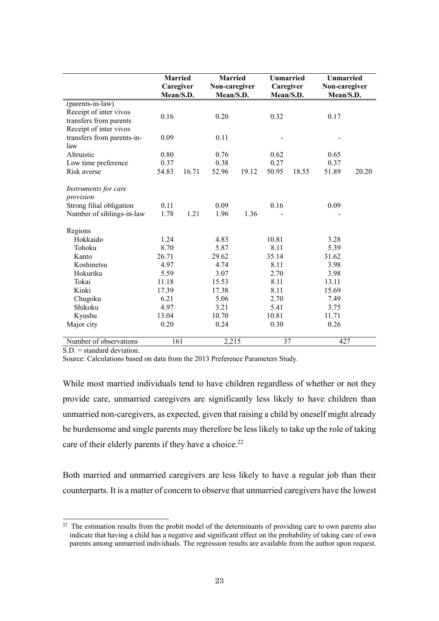|                                            | <b>Married</b><br>Caregiver<br>Mean/S.D. |       | <b>Married</b><br>Non-caregiver<br>Mean/S.D. |       | <b>Unmarried</b><br>Caregiver<br>Mean/S.D. |       | <b>Unmarried</b><br>Non-caregiver<br>Mean/S.D. |       |
|--------------------------------------------|------------------------------------------|-------|----------------------------------------------|-------|--------------------------------------------|-------|------------------------------------------------|-------|
| (parents-in-law)<br>Receipt of inter vivos |                                          |       |                                              |       |                                            |       |                                                |       |
| transfers from parents                     | 0.16                                     |       | 0.20                                         |       | 0.32                                       |       | 0.17                                           |       |
| Receipt of inter vivos                     |                                          |       |                                              |       |                                            |       |                                                |       |
| transfers from parents-in-<br>law          | 0.09                                     |       | 0.11                                         |       |                                            |       |                                                |       |
| Altruistic                                 | 0.80                                     |       | 0.76                                         |       | 0.62                                       |       | 0.65                                           |       |
| Low time preference                        | 0.37                                     |       | 0.38                                         |       | 0.27                                       |       | 0.37                                           |       |
| Risk averse                                | 54.83                                    | 16.71 | 52.96                                        | 19.12 | 50.95                                      | 18.55 | 51.89                                          | 20.20 |
| Instruments for care                       |                                          |       |                                              |       |                                            |       |                                                |       |
| provision                                  |                                          |       |                                              |       |                                            |       |                                                |       |
| Strong filial obligation                   | 0.11                                     |       | 0.09                                         |       | 0.16                                       |       | 0.09                                           |       |
| Number of siblings-in-law                  | 1.78                                     | 1.21  | 1.96                                         | 1.36  |                                            |       |                                                |       |
| Regions                                    |                                          |       |                                              |       |                                            |       |                                                |       |
| Hokkaido                                   | 1.24                                     |       | 4.83                                         |       | 10.81                                      |       | 3.28                                           |       |
| Tohoku                                     | 8.70                                     |       | 5.87                                         |       | 8.11                                       |       | 5.39                                           |       |
| Kanto                                      | 26.71                                    |       | 29.62                                        |       | 35.14                                      |       | 31.62                                          |       |
| Koshinetsu                                 | 4.97                                     |       | 4.74                                         |       | 8.11                                       |       | 3.98                                           |       |
| Hokuriku                                   | 5.59                                     |       | 3.07                                         |       | 2.70                                       |       | 3.98                                           |       |
| Tokai                                      | 11.18                                    |       | 15.53                                        |       | 8.11                                       |       | 13.11                                          |       |
| Kinki                                      | 17.39                                    |       | 17.38                                        |       | 8.11                                       |       | 15.69                                          |       |
| Chugoku                                    | 6.21                                     |       | 5.06                                         |       | 2.70                                       |       | 7.49                                           |       |
| Shikoku                                    | 4.97                                     |       | 3.21                                         |       | 5.41                                       |       | 3.75                                           |       |
| Kyushu                                     | 13.04                                    |       | 10.70                                        |       | 10.81                                      |       | 11.71                                          |       |
| Major city                                 | 0.20                                     |       | 0.24                                         |       | 0.30                                       |       | 0.26                                           |       |
| Number of observations                     | 161                                      |       | 2,215                                        |       | 37                                         |       | 427                                            |       |

 $S.D.$  = standard deviation.

 $\overline{a}$ 

Source: Calculations based on data from the 2013 Preference Parameters Study.

While most married individuals tend to have children regardless of whether or not they provide care, unmarried caregivers are significantly less likely to have children than unmarried non-caregivers, as expected, given that raising a child by oneself might already be burdensome and single parents may therefore be less likely to take up the role of taking care of their elderly parents if they have a choice.<sup>22</sup>

Both married and unmarried caregivers are less likely to have a regular job than their counterparts. It is a matter of concern to observe that unmarried caregivers have the lowest

<sup>&</sup>lt;sup>22</sup> The estimation results from the probit model of the determinants of providing care to own parents also indicate that having a child has a negative and significant effect on the probability of taking care of own parents among unmarried individuals. The regression results are available from the author upon request.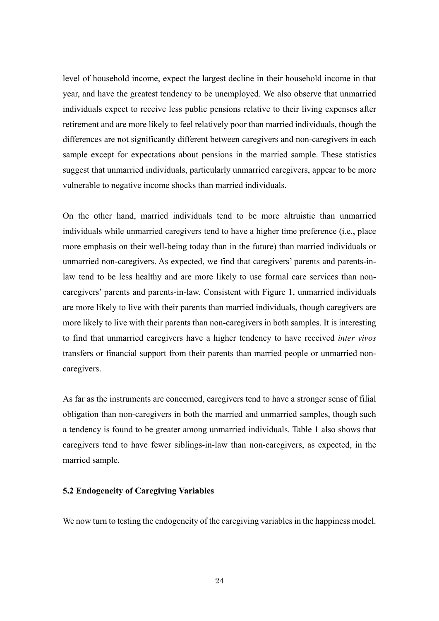level of household income, expect the largest decline in their household income in that year, and have the greatest tendency to be unemployed. We also observe that unmarried individuals expect to receive less public pensions relative to their living expenses after retirement and are more likely to feel relatively poor than married individuals, though the differences are not significantly different between caregivers and non-caregivers in each sample except for expectations about pensions in the married sample. These statistics suggest that unmarried individuals, particularly unmarried caregivers, appear to be more vulnerable to negative income shocks than married individuals.

On the other hand, married individuals tend to be more altruistic than unmarried individuals while unmarried caregivers tend to have a higher time preference (i.e., place more emphasis on their well-being today than in the future) than married individuals or unmarried non-caregivers. As expected, we find that caregivers' parents and parents-inlaw tend to be less healthy and are more likely to use formal care services than noncaregivers' parents and parents-in-law. Consistent with Figure 1, unmarried individuals are more likely to live with their parents than married individuals, though caregivers are more likely to live with their parents than non-caregivers in both samples. It is interesting to find that unmarried caregivers have a higher tendency to have received *inter vivos* transfers or financial support from their parents than married people or unmarried noncaregivers.

As far as the instruments are concerned, caregivers tend to have a stronger sense of filial obligation than non-caregivers in both the married and unmarried samples, though such a tendency is found to be greater among unmarried individuals. Table 1 also shows that caregivers tend to have fewer siblings-in-law than non-caregivers, as expected, in the married sample.

# **5.2 Endogeneity of Caregiving Variables**

We now turn to testing the endogeneity of the caregiving variables in the happiness model.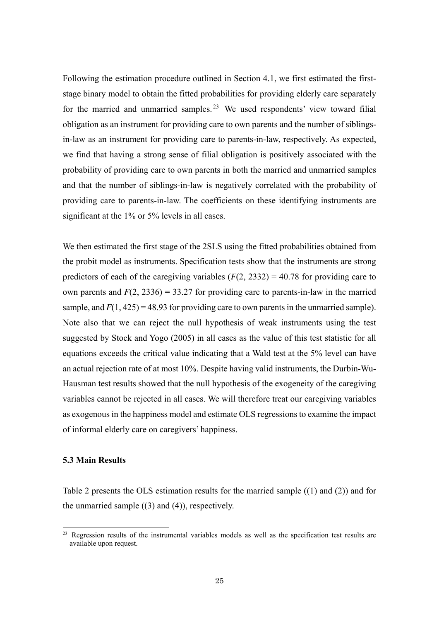Following the estimation procedure outlined in Section 4.1, we first estimated the firststage binary model to obtain the fitted probabilities for providing elderly care separately for the married and unmarried samples.<sup>23</sup> We used respondents' view toward filial obligation as an instrument for providing care to own parents and the number of siblingsin-law as an instrument for providing care to parents-in-law, respectively. As expected, we find that having a strong sense of filial obligation is positively associated with the probability of providing care to own parents in both the married and unmarried samples and that the number of siblings-in-law is negatively correlated with the probability of providing care to parents-in-law. The coefficients on these identifying instruments are significant at the 1% or 5% levels in all cases.

We then estimated the first stage of the 2SLS using the fitted probabilities obtained from the probit model as instruments. Specification tests show that the instruments are strong predictors of each of the caregiving variables  $(F(2, 2332) = 40.78$  for providing care to own parents and  $F(2, 2336) = 33.27$  for providing care to parents-in-law in the married sample, and  $F(1, 425) = 48.93$  for providing care to own parents in the unmarried sample). Note also that we can reject the null hypothesis of weak instruments using the test suggested by Stock and Yogo (2005) in all cases as the value of this test statistic for all equations exceeds the critical value indicating that a Wald test at the 5% level can have an actual rejection rate of at most 10%. Despite having valid instruments, the Durbin-Wu-Hausman test results showed that the null hypothesis of the exogeneity of the caregiving variables cannot be rejected in all cases. We will therefore treat our caregiving variables as exogenous in the happiness model and estimate OLS regressions to examine the impact of informal elderly care on caregivers' happiness.

#### **5.3 Main Results**

 $\overline{a}$ 

Table 2 presents the OLS estimation results for the married sample ((1) and (2)) and for the unmarried sample  $((3)$  and  $(4)$ ), respectively.

<sup>&</sup>lt;sup>23</sup> Regression results of the instrumental variables models as well as the specification test results are available upon request.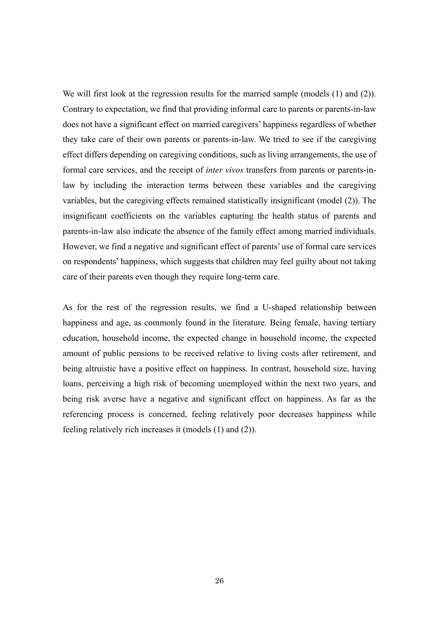We will first look at the regression results for the married sample (models  $(1)$  and  $(2)$ ). Contrary to expectation, we find that providing informal care to parents or parents-in-law does not have a significant effect on married caregivers' happiness regardless of whether they take care of their own parents or parents-in-law. We tried to see if the caregiving effect differs depending on caregiving conditions, such as living arrangements, the use of formal care services, and the receipt of *inter vivos* transfers from parents or parents-inlaw by including the interaction terms between these variables and the caregiving variables, but the caregiving effects remained statistically insignificant (model (2)). The insignificant coefficients on the variables capturing the health status of parents and parents-in-law also indicate the absence of the family effect among married individuals. However, we find a negative and significant effect of parents' use of formal care services on respondents' happiness, which suggests that children may feel guilty about not taking care of their parents even though they require long-term care.

As for the rest of the regression results, we find a U-shaped relationship between happiness and age, as commonly found in the literature. Being female, having tertiary education, household income, the expected change in household income, the expected amount of public pensions to be received relative to living costs after retirement, and being altruistic have a positive effect on happiness. In contrast, household size, having loans, perceiving a high risk of becoming unemployed within the next two years, and being risk averse have a negative and significant effect on happiness. As far as the referencing process is concerned, feeling relatively poor decreases happiness while feeling relatively rich increases it (models (1) and (2)).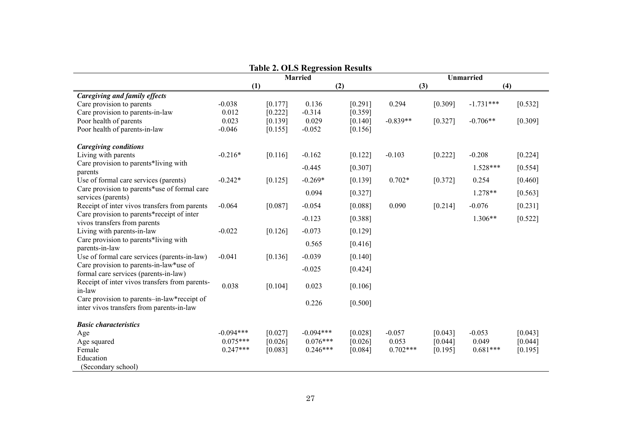|                                                                    |             |         | <b>Table 2. OLS Regression Results</b><br><b>Married</b> | <b>Unmarried</b> |            |           |             |           |
|--------------------------------------------------------------------|-------------|---------|----------------------------------------------------------|------------------|------------|-----------|-------------|-----------|
|                                                                    | (1)<br>(2)  |         |                                                          | (3)<br>(4)       |            |           |             |           |
| <b>Caregiving and family effects</b>                               |             |         |                                                          |                  |            |           |             |           |
| Care provision to parents                                          | $-0.038$    | [0.177] | 0.136                                                    | [0.291]          | 0.294      | [0.309]   | $-1.731***$ | [0.532]   |
| Care provision to parents-in-law                                   | 0.012       | [0.222] | $-0.314$                                                 | [0.359]          |            |           |             |           |
| Poor health of parents                                             | 0.023       | [0.139] | 0.029                                                    | [0.140]          | $-0.839**$ | [0.327]   | $-0.706**$  | [0.309]   |
| Poor health of parents-in-law                                      | $-0.046$    | [0.155] | $-0.052$                                                 | [0.156]          |            |           |             |           |
| <b>Caregiving conditions</b>                                       |             |         |                                                          |                  |            |           |             |           |
| Living with parents                                                | $-0.216*$   | [0.116] | $-0.162$                                                 | [0.122]          | $-0.103$   | $[0.222]$ | $-0.208$    | $[0.224]$ |
| Care provision to parents*living with                              |             |         | $-0.445$                                                 | [0.307]          |            |           | $1.528***$  | $[0.554]$ |
| parents                                                            |             |         |                                                          |                  |            |           |             |           |
| Use of formal care services (parents)                              | $-0.242*$   | [0.125] | $-0.269*$                                                | [0.139]          | $0.702*$   | [0.372]   | 0.254       | [0.460]   |
| Care provision to parents*use of formal care<br>services (parents) |             |         | 0.094                                                    | [0.327]          |            |           | $1.278**$   | $[0.563]$ |
| Receipt of inter vivos transfers from parents                      | $-0.064$    | [0.087] | $-0.054$                                                 | [0.088]          | 0.090      | [0.214]   | $-0.076$    | $[0.231]$ |
| Care provision to parents*receipt of inter                         |             |         | $-0.123$                                                 | [0.388]          |            |           | $1.306**$   | $[0.522]$ |
| vivos transfers from parents                                       |             |         |                                                          |                  |            |           |             |           |
| Living with parents-in-law                                         | $-0.022$    | [0.126] | $-0.073$                                                 | [0.129]          |            |           |             |           |
| Care provision to parents*living with<br>parents-in-law            |             |         | 0.565                                                    | [0.416]          |            |           |             |           |
| Use of formal care services (parents-in-law)                       | $-0.041$    | [0.136] | $-0.039$                                                 | [0.140]          |            |           |             |           |
| Care provision to parents-in-law*use of                            |             |         |                                                          |                  |            |           |             |           |
| formal care services (parents-in-law)                              |             |         | $-0.025$                                                 | [0.424]          |            |           |             |           |
| Receipt of inter vivos transfers from parents-                     | 0.038       | [0.104] | 0.023                                                    | [0.106]          |            |           |             |           |
| in-law                                                             |             |         |                                                          |                  |            |           |             |           |
| Care provision to parents-in-law*receipt of                        |             |         | 0.226                                                    | [0.500]          |            |           |             |           |
| inter vivos transfers from parents-in-law                          |             |         |                                                          |                  |            |           |             |           |
| <b>Basic characteristics</b>                                       |             |         |                                                          |                  |            |           |             |           |
| Age                                                                | $-0.094***$ | [0.027] | $-0.094***$                                              | [0.028]          | $-0.057$   | [0.043]   | $-0.053$    | [0.043]   |
| Age squared                                                        | $0.075***$  | [0.026] | $0.076***$                                               | [0.026]          | 0.053      | [0.044]   | 0.049       | [0.044]   |
| Female                                                             | $0.247***$  | [0.083] | $0.246***$                                               | [0.084]          | $0.702***$ | [0.195]   | $0.681***$  | $[0.195]$ |
| Education                                                          |             |         |                                                          |                  |            |           |             |           |
| (Secondary school)                                                 |             |         |                                                          |                  |            |           |             |           |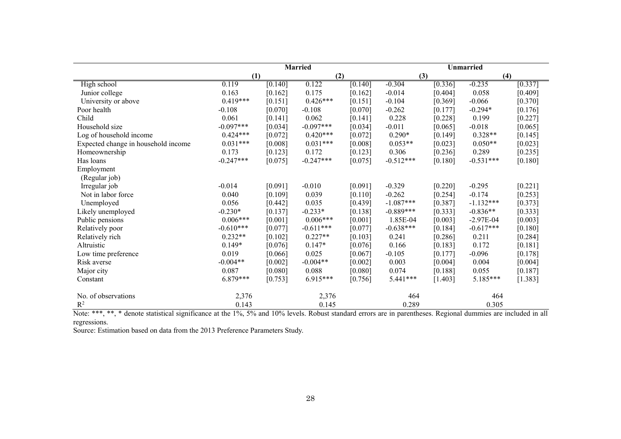|                                     | <b>Married</b> |         |             |         | Unmarried   |           |             |           |
|-------------------------------------|----------------|---------|-------------|---------|-------------|-----------|-------------|-----------|
|                                     | (1)            |         | (2)         |         | (3)         |           | (4)         |           |
| High school                         | 0.119          | [0.140] | 0.122       | [0.140] | $-0.304$    | [0.336]   | $-0.235$    | [0.337]   |
| Junior college                      | 0.163          | [0.162] | 0.175       | [0.162] | $-0.014$    | [0.404]   | 0.058       | [0.409]   |
| University or above                 | $0.419***$     | [0.151] | $0.426***$  | [0.151] | $-0.104$    | [0.369]   | $-0.066$    | [0.370]   |
| Poor health                         | $-0.108$       | [0.070] | $-0.108$    | [0.070] | $-0.262$    | [0.177]   | $-0.294*$   | [0.176]   |
| Child                               | 0.061          | [0.141] | 0.062       | [0.141] | 0.228       | [0.228]   | 0.199       | $[0.227]$ |
| Household size                      | $-0.097***$    | [0.034] | $-0.097***$ | [0.034] | $-0.011$    | [0.065]   | $-0.018$    | [0.065]   |
| Log of household income             | $0.424***$     | [0.072] | $0.420***$  | [0.072] | $0.290*$    | [0.149]   | $0.328**$   | [0.145]   |
| Expected change in household income | $0.031***$     | [0.008] | $0.031***$  | [0.008] | $0.053**$   | [0.023]   | $0.050**$   | [0.023]   |
| Homeownership                       | 0.173          | [0.123] | 0.172       | [0.123] | 0.306       | [0.236]   | 0.289       | [0.235]   |
| Has loans                           | $-0.247***$    | [0.075] | $-0.247***$ | [0.075] | $-0.512***$ | [0.180]   | $-0.531***$ | [0.180]   |
| Employment                          |                |         |             |         |             |           |             |           |
| (Regular job)                       |                |         |             |         |             |           |             |           |
| Irregular job                       | $-0.014$       | [0.091] | $-0.010$    | [0.091] | $-0.329$    | $[0.220]$ | $-0.295$    | $[0.221]$ |
| Not in labor force                  | 0.040          | [0.109] | 0.039       | [0.110] | $-0.262$    | [0.254]   | $-0.174$    | $[0.253]$ |
| Unemployed                          | 0.056          | [0.442] | 0.035       | [0.439] | $-1.087***$ | [0.387]   | $-1.132***$ | [0.373]   |
| Likely unemployed                   | $-0.230*$      | [0.137] | $-0.233*$   | [0.138] | $-0.889***$ | [0.333]   | $-0.836**$  | [0.333]   |
| Public pensions                     | $0.006***$     | [0.001] | $0.006***$  | [0.001] | 1.85E-04    | [0.003]   | $-2.97E-04$ | [0.003]   |
| Relatively poor                     | $-0.610***$    | [0.077] | $-0.611***$ | [0.077] | $-0.638***$ | [0.184]   | $-0.617***$ | [0.180]   |
| Relatively rich                     | $0.232**$      | [0.102] | $0.227**$   | [0.103] | 0.241       | [0.286]   | 0.211       | $[0.284]$ |
| Altruistic                          | $0.149*$       | [0.076] | $0.147*$    | [0.076] | 0.166       | [0.183]   | 0.172       | [0.181]   |
| Low time preference                 | 0.019          | [0.066] | 0.025       | [0.067] | $-0.105$    | [0.177]   | $-0.096$    | [0.178]   |
| Risk averse                         | $-0.004**$     | [0.002] | $-0.004**$  | [0.002] | 0.003       | [0.004]   | 0.004       | [0.004]   |
| Major city                          | 0.087          | [0.080] | 0.088       | [0.080] | 0.074       | [0.188]   | 0.055       | [0.187]   |
| Constant                            | $6.879***$     | [0.753] | 6.915***    | [0.756] | $5.441***$  | [1.403]   | $5.185***$  | [1.383]   |
| No. of observations                 | 2,376          |         | 2,376       |         | 464         |           | 464         |           |
| $R^2$                               | 0.143          |         | 0.145       |         | 0.289       |           | 0.305       |           |

Note: \*\*\*, \*\*, \* denote statistical significance at the 1%, 5% and 10% levels. Robust standard errors are in parentheses. Regional dummies are included in all regressions.

Source: Estimation based on data from the 2013 Preference Parameters Study.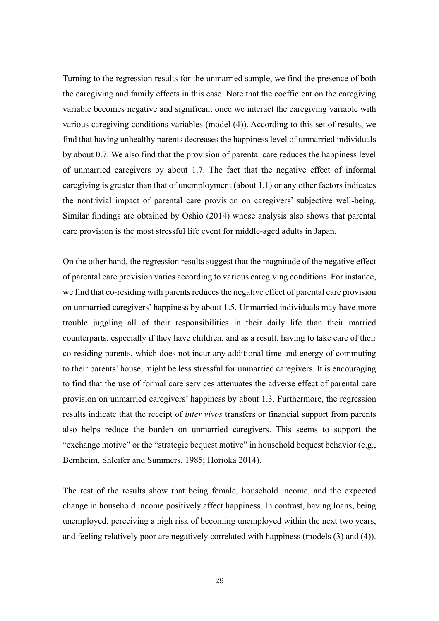Turning to the regression results for the unmarried sample, we find the presence of both the caregiving and family effects in this case. Note that the coefficient on the caregiving variable becomes negative and significant once we interact the caregiving variable with various caregiving conditions variables (model (4)). According to this set of results, we find that having unhealthy parents decreases the happiness level of unmarried individuals by about 0.7. We also find that the provision of parental care reduces the happiness level of unmarried caregivers by about 1.7. The fact that the negative effect of informal caregiving is greater than that of unemployment (about 1.1) or any other factors indicates the nontrivial impact of parental care provision on caregivers' subjective well-being. Similar findings are obtained by Oshio (2014) whose analysis also shows that parental care provision is the most stressful life event for middle-aged adults in Japan.

On the other hand, the regression results suggest that the magnitude of the negative effect of parental care provision varies according to various caregiving conditions. For instance, we find that co-residing with parents reduces the negative effect of parental care provision on unmarried caregivers' happiness by about 1.5. Unmarried individuals may have more trouble juggling all of their responsibilities in their daily life than their married counterparts, especially if they have children, and as a result, having to take care of their co-residing parents, which does not incur any additional time and energy of commuting to their parents' house, might be less stressful for unmarried caregivers. It is encouraging to find that the use of formal care services attenuates the adverse effect of parental care provision on unmarried caregivers' happiness by about 1.3. Furthermore, the regression results indicate that the receipt of *inter vivos* transfers or financial support from parents also helps reduce the burden on unmarried caregivers. This seems to support the "exchange motive" or the "strategic bequest motive" in household bequest behavior (e.g., Bernheim, Shleifer and Summers, 1985; Horioka 2014).

The rest of the results show that being female, household income, and the expected change in household income positively affect happiness. In contrast, having loans, being unemployed, perceiving a high risk of becoming unemployed within the next two years, and feeling relatively poor are negatively correlated with happiness (models (3) and (4)).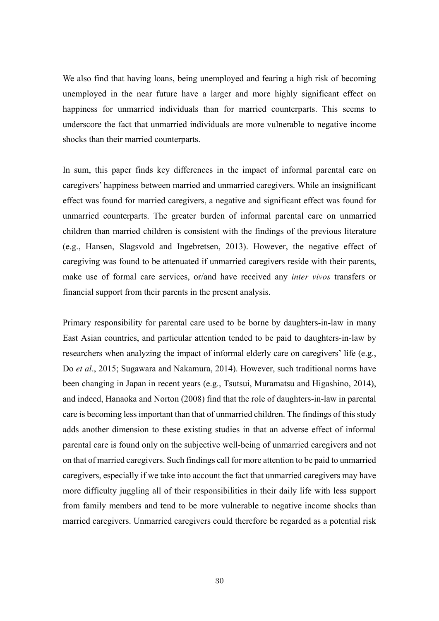We also find that having loans, being unemployed and fearing a high risk of becoming unemployed in the near future have a larger and more highly significant effect on happiness for unmarried individuals than for married counterparts. This seems to underscore the fact that unmarried individuals are more vulnerable to negative income shocks than their married counterparts.

In sum, this paper finds key differences in the impact of informal parental care on caregivers' happiness between married and unmarried caregivers. While an insignificant effect was found for married caregivers, a negative and significant effect was found for unmarried counterparts. The greater burden of informal parental care on unmarried children than married children is consistent with the findings of the previous literature (e.g., Hansen, Slagsvold and Ingebretsen, 2013). However, the negative effect of caregiving was found to be attenuated if unmarried caregivers reside with their parents, make use of formal care services, or/and have received any *inter vivos* transfers or financial support from their parents in the present analysis.

Primary responsibility for parental care used to be borne by daughters-in-law in many East Asian countries, and particular attention tended to be paid to daughters-in-law by researchers when analyzing the impact of informal elderly care on caregivers' life (e.g., Do *et al*., 2015; Sugawara and Nakamura, 2014). However, such traditional norms have been changing in Japan in recent years (e.g., Tsutsui, Muramatsu and Higashino, 2014), and indeed, Hanaoka and Norton (2008) find that the role of daughters-in-law in parental care is becoming less important than that of unmarried children. The findings of this study adds another dimension to these existing studies in that an adverse effect of informal parental care is found only on the subjective well-being of unmarried caregivers and not on that of married caregivers. Such findings call for more attention to be paid to unmarried caregivers, especially if we take into account the fact that unmarried caregivers may have more difficulty juggling all of their responsibilities in their daily life with less support from family members and tend to be more vulnerable to negative income shocks than married caregivers. Unmarried caregivers could therefore be regarded as a potential risk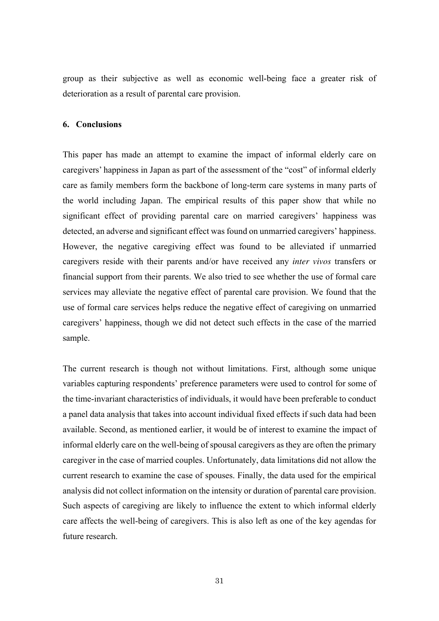group as their subjective as well as economic well-being face a greater risk of deterioration as a result of parental care provision.

#### **6. Conclusions**

This paper has made an attempt to examine the impact of informal elderly care on caregivers' happiness in Japan as part of the assessment of the "cost" of informal elderly care as family members form the backbone of long-term care systems in many parts of the world including Japan. The empirical results of this paper show that while no significant effect of providing parental care on married caregivers' happiness was detected, an adverse and significant effect was found on unmarried caregivers' happiness. However, the negative caregiving effect was found to be alleviated if unmarried caregivers reside with their parents and/or have received any *inter vivos* transfers or financial support from their parents. We also tried to see whether the use of formal care services may alleviate the negative effect of parental care provision. We found that the use of formal care services helps reduce the negative effect of caregiving on unmarried caregivers' happiness, though we did not detect such effects in the case of the married sample.

The current research is though not without limitations. First, although some unique variables capturing respondents' preference parameters were used to control for some of the time-invariant characteristics of individuals, it would have been preferable to conduct a panel data analysis that takes into account individual fixed effects if such data had been available. Second, as mentioned earlier, it would be of interest to examine the impact of informal elderly care on the well-being of spousal caregivers as they are often the primary caregiver in the case of married couples. Unfortunately, data limitations did not allow the current research to examine the case of spouses. Finally, the data used for the empirical analysis did not collect information on the intensity or duration of parental care provision. Such aspects of caregiving are likely to influence the extent to which informal elderly care affects the well-being of caregivers. This is also left as one of the key agendas for future research.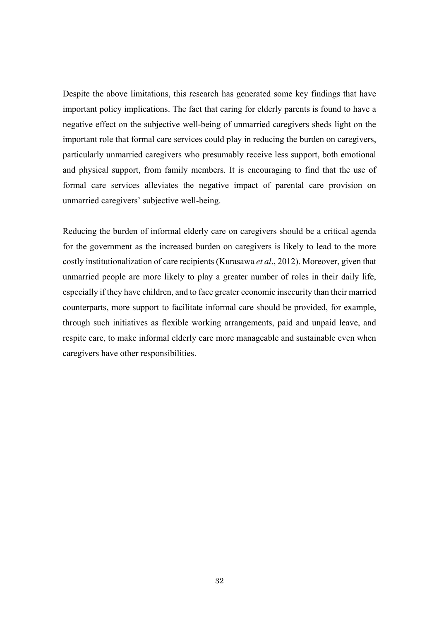Despite the above limitations, this research has generated some key findings that have important policy implications. The fact that caring for elderly parents is found to have a negative effect on the subjective well-being of unmarried caregivers sheds light on the important role that formal care services could play in reducing the burden on caregivers, particularly unmarried caregivers who presumably receive less support, both emotional and physical support, from family members. It is encouraging to find that the use of formal care services alleviates the negative impact of parental care provision on unmarried caregivers' subjective well-being.

Reducing the burden of informal elderly care on caregivers should be a critical agenda for the government as the increased burden on caregivers is likely to lead to the more costly institutionalization of care recipients (Kurasawa *et al*., 2012). Moreover, given that unmarried people are more likely to play a greater number of roles in their daily life, especially if they have children, and to face greater economic insecurity than their married counterparts, more support to facilitate informal care should be provided, for example, through such initiatives as flexible working arrangements, paid and unpaid leave, and respite care, to make informal elderly care more manageable and sustainable even when caregivers have other responsibilities.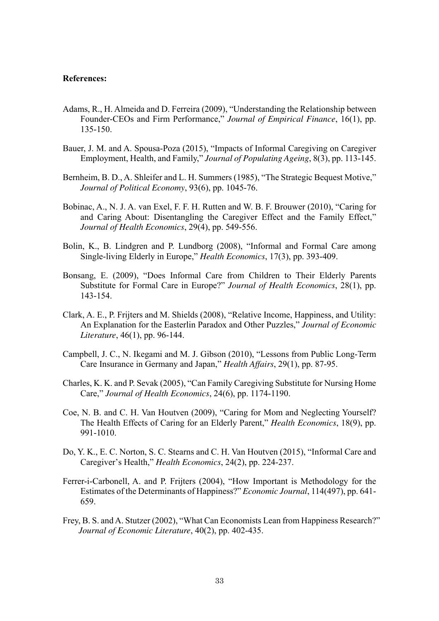#### **References:**

- Adams, R., H. Almeida and D. Ferreira (2009), "Understanding the Relationship between Founder-CEOs and Firm Performance," *Journal of Empirical Finance*, 16(1), pp. 135-150.
- Bauer, J. M. and A. Spousa-Poza (2015), "Impacts of Informal Caregiving on Caregiver Employment, Health, and Family," *Journal of Populating Ageing*, 8(3), pp. 113-145.
- Bernheim, B. D., A. Shleifer and L. H. Summers (1985), "The Strategic Bequest Motive," *Journal of Political Economy*, 93(6), pp. 1045-76.
- Bobinac, A., N. J. A. van Exel, F. F. H. Rutten and W. B. F. Brouwer (2010), "Caring for and Caring About: Disentangling the Caregiver Effect and the Family Effect," *Journal of Health Economics*, 29(4), pp. 549-556.
- Bolin, K., B. Lindgren and P. Lundborg (2008), "Informal and Formal Care among Single-living Elderly in Europe," *Health Economics*, 17(3), pp. 393-409.
- Bonsang, E. (2009), "Does Informal Care from Children to Their Elderly Parents Substitute for Formal Care in Europe?" *Journal of Health Economics*, 28(1), pp. 143-154.
- Clark, A. E., P. Frijters and M. Shields (2008), "Relative Income, Happiness, and Utility: An Explanation for the Easterlin Paradox and Other Puzzles," *Journal of Economic Literature*, 46(1), pp. 96-144.
- Campbell, J. C., N. Ikegami and M. J. Gibson (2010), "Lessons from Public Long-Term Care Insurance in Germany and Japan," *Health Affairs*, 29(1), pp. 87-95.
- Charles, K. K. and P. Sevak (2005), "Can Family Caregiving Substitute for Nursing Home Care," *Journal of Health Economics*, 24(6), pp. 1174-1190.
- Coe, N. B. and C. H. Van Houtven (2009), "Caring for Mom and Neglecting Yourself? The Health Effects of Caring for an Elderly Parent," *Health Economics*, 18(9), pp. 991-1010.
- Do, Y. K., E. C. Norton, S. C. Stearns and C. H. Van Houtven (2015), "Informal Care and Caregiver's Health," *Health Economics*, 24(2), pp. 224-237.
- Ferrer-i-Carbonell, A. and P. Frijters (2004), "How Important is Methodology for the Estimates of the Determinants of Happiness?" *Economic Journal*, 114(497), pp. 641- 659.
- Frey, B. S. and A. Stutzer (2002), "What Can Economists Lean from Happiness Research?" *Journal of Economic Literature*, 40(2), pp. 402-435.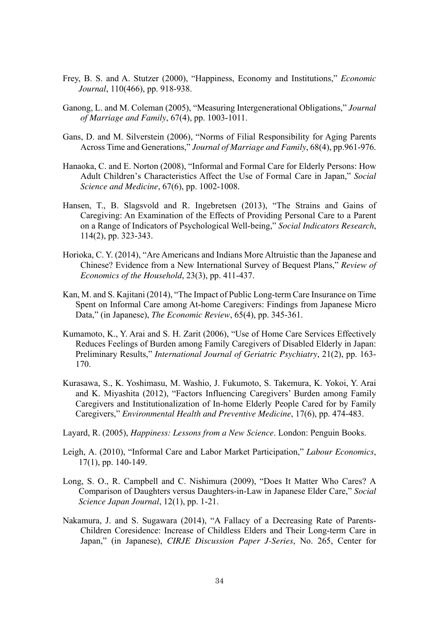- Frey, B. S. and A. Stutzer (2000), "Happiness, Economy and Institutions," *Economic Journal*, 110(466), pp. 918-938.
- Ganong, L. and M. Coleman (2005), "Measuring Intergenerational Obligations," *Journal of Marriage and Family*, 67(4), pp. 1003-1011.
- Gans, D. and M. Silverstein (2006), "Norms of Filial Responsibility for Aging Parents Across Time and Generations," *Journal of Marriage and Family*, 68(4), pp.961-976.
- Hanaoka, C. and E. Norton (2008), "Informal and Formal Care for Elderly Persons: How Adult Children's Characteristics Affect the Use of Formal Care in Japan," *Social Science and Medicine*, 67(6), pp. 1002-1008.
- Hansen, T., B. Slagsvold and R. Ingebretsen (2013), "The Strains and Gains of Caregiving: An Examination of the Effects of Providing Personal Care to a Parent on a Range of Indicators of Psychological Well-being," *Social Indicators Research*, 114(2), pp. 323-343.
- Horioka, C. Y. (2014), "Are Americans and Indians More Altruistic than the Japanese and Chinese? Evidence from a New International Survey of Bequest Plans," *Review of Economics of the Household*, 23(3), pp. 411-437.
- Kan, M. and S. Kajitani (2014), "The Impact of Public Long-term Care Insurance on Time Spent on Informal Care among At-home Caregivers: Findings from Japanese Micro Data," (in Japanese), *The Economic Review*, 65(4), pp. 345-361.
- Kumamoto, K., Y. Arai and S. H. Zarit (2006), "Use of Home Care Services Effectively Reduces Feelings of Burden among Family Caregivers of Disabled Elderly in Japan: Preliminary Results," *International Journal of Geriatric Psychiatry*, 21(2), pp. 163- 170.
- Kurasawa, S., K. Yoshimasu, M. Washio, J. Fukumoto, S. Takemura, K. Yokoi, Y. Arai and K. Miyashita (2012), "Factors Influencing Caregivers' Burden among Family Caregivers and Institutionalization of In-home Elderly People Cared for by Family Caregivers," *Environmental Health and Preventive Medicine*, 17(6), pp. 474-483.
- Layard, R. (2005), *Happiness: Lessons from a New Science*. London: Penguin Books.
- Leigh, A. (2010), "Informal Care and Labor Market Participation," *Labour Economics*, 17(1), pp. 140-149.
- Long, S. O., R. Campbell and C. Nishimura (2009), "Does It Matter Who Cares? A Comparison of Daughters versus Daughters-in-Law in Japanese Elder Care," *Social Science Japan Journal*, 12(1), pp. 1-21.
- Nakamura, J. and S. Sugawara (2014), "A Fallacy of a Decreasing Rate of Parents-Children Coresidence: Increase of Childless Elders and Their Long-term Care in Japan," (in Japanese), *CIRJE Discussion Paper J-Series*, No. 265, Center for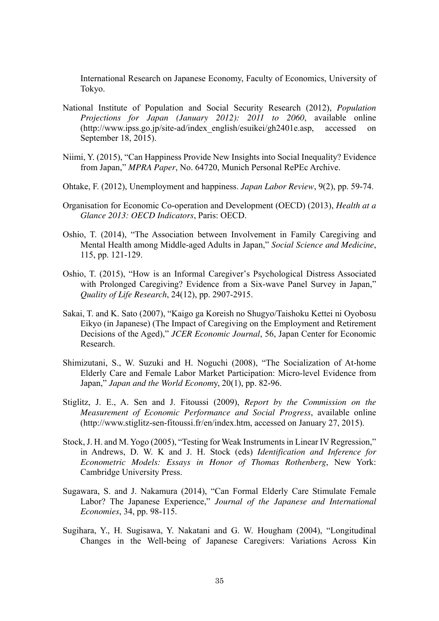International Research on Japanese Economy, Faculty of Economics, University of Tokyo.

- National Institute of Population and Social Security Research (2012), *Population Projections for Japan (January 2012): 2011 to 2060*, available online (http://www.ipss.go.jp/site-ad/index\_english/esuikei/gh2401e.asp, accessed on September 18, 2015).
- Niimi, Y. (2015), "Can Happiness Provide New Insights into Social Inequality? Evidence from Japan," *MPRA Paper*, No. 64720, Munich Personal RePEc Archive.
- Ohtake, F. (2012), Unemployment and happiness. *Japan Labor Review*, 9(2), pp. 59-74.
- Organisation for Economic Co-operation and Development (OECD) (2013), *Health at a Glance 2013: OECD Indicators*, Paris: OECD.
- Oshio, T. (2014), "The Association between Involvement in Family Caregiving and Mental Health among Middle-aged Adults in Japan," *Social Science and Medicine*, 115, pp. 121-129.
- Oshio, T. (2015), "How is an Informal Caregiver's Psychological Distress Associated with Prolonged Caregiving? Evidence from a Six-wave Panel Survey in Japan," *Quality of Life Research*, 24(12), pp. 2907-2915.
- Sakai, T. and K. Sato (2007), "Kaigo ga Koreish no Shugyo/Taishoku Kettei ni Oyobosu Eikyo (in Japanese) (The Impact of Caregiving on the Employment and Retirement Decisions of the Aged)," *JCER Economic Journal*, 56, Japan Center for Economic Research.
- Shimizutani, S., W. Suzuki and H. Noguchi (2008), "The Socialization of At-home Elderly Care and Female Labor Market Participation: Micro-level Evidence from Japan," *Japan and the World Econom*y, 20(1), pp. 82-96.
- Stiglitz, J. E., A. Sen and J. Fitoussi (2009), *Report by the Commission on the Measurement of Economic Performance and Social Progress*, available online (http://www.stiglitz-sen-fitoussi.fr/en/index.htm, accessed on January 27, 2015).
- Stock, J. H. and M. Yogo (2005), "Testing for Weak Instruments in Linear IV Regression," in Andrews, D. W. K and J. H. Stock (eds) *Identification and Inference for Econometric Models: Essays in Honor of Thomas Rothenberg*, New York: Cambridge University Press.
- Sugawara, S. and J. Nakamura (2014), "Can Formal Elderly Care Stimulate Female Labor? The Japanese Experience," *Journal of the Japanese and International Economies*, 34, pp. 98-115.
- Sugihara, Y., H. Sugisawa, Y. Nakatani and G. W. Hougham (2004), "Longitudinal Changes in the Well-being of Japanese Caregivers: Variations Across Kin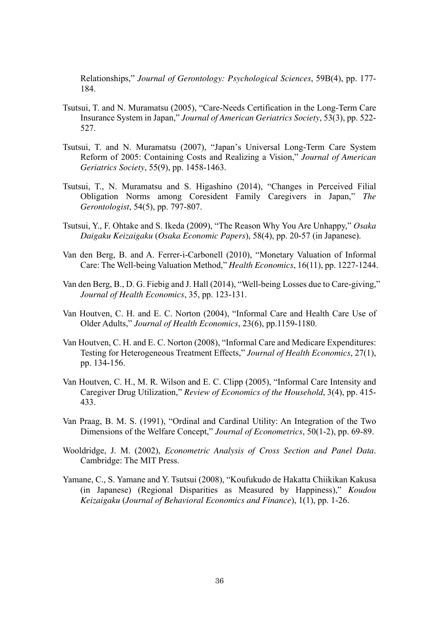Relationships," *Journal of Gerontology: Psychological Sciences*, 59B(4), pp. 177- 184.

- Tsutsui, T. and N. Muramatsu (2005), "Care-Needs Certification in the Long-Term Care Insurance System in Japan," *Journal of American Geriatrics Society*, 53(3), pp. 522- 527.
- Tsutsui, T. and N. Muramatsu (2007), "Japan's Universal Long-Term Care System Reform of 2005: Containing Costs and Realizing a Vision," *Journal of American Geriatrics Society*, 55(9), pp. 1458-1463.
- Tsutsui, T., N. Muramatsu and S. Higashino (2014), "Changes in Perceived Filial Obligation Norms among Coresident Family Caregivers in Japan," *The Gerontologist*, 54(5), pp. 797-807.
- Tsutsui, Y., F. Ohtake and S. Ikeda (2009), "The Reason Why You Are Unhappy," *Osaka Daigaku Keizaigaku* (*Osaka Economic Papers*), 58(4), pp. 20-57 (in Japanese).
- Van den Berg, B. and A. Ferrer-i-Carbonell (2010), "Monetary Valuation of Informal Care: The Well-being Valuation Method," *Health Economics*, 16(11), pp. 1227-1244.
- Van den Berg, B., D. G. Fiebig and J. Hall (2014), "Well-being Losses due to Care-giving," *Journal of Health Economics*, 35, pp. 123-131.
- Van Houtven, C. H. and E. C. Norton (2004), "Informal Care and Health Care Use of Older Adults," *Journal of Health Economics*, 23(6), pp.1159-1180.
- Van Houtven, C. H. and E. C. Norton (2008), "Informal Care and Medicare Expenditures: Testing for Heterogeneous Treatment Effects," *Journal of Health Economics*, 27(1), pp. 134-156.
- Van Houtven, C. H., M. R. Wilson and E. C. Clipp (2005), "Informal Care Intensity and Caregiver Drug Utilization," *Review of Economics of the Household*, 3(4), pp. 415- 433.
- Van Praag, B. M. S. (1991), "Ordinal and Cardinal Utility: An Integration of the Two Dimensions of the Welfare Concept," *Journal of Econometrics*, 50(1-2), pp. 69-89.
- Wooldridge, J. M. (2002), *Econometric Analysis of Cross Section and Panel Data*. Cambridge: The MIT Press.
- Yamane, C., S. Yamane and Y. Tsutsui (2008), "Koufukudo de Hakatta Chiikikan Kakusa (in Japanese) (Regional Disparities as Measured by Happiness)," *Koudou Keizaigaku* (*Journal of Behavioral Economics and Finance*), 1(1), pp. 1-26.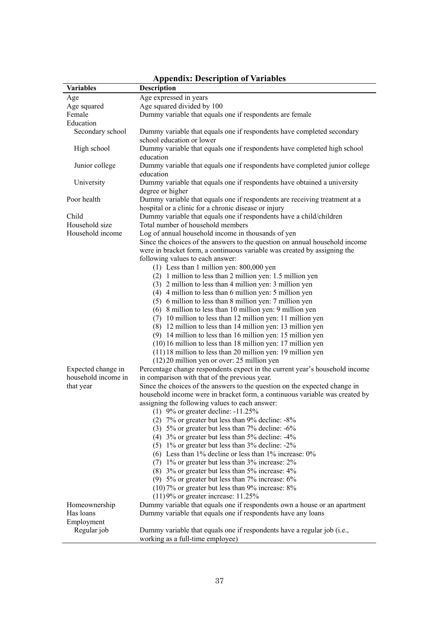| <b>Variables</b>    | <b>Description</b>                                                                                                                 |
|---------------------|------------------------------------------------------------------------------------------------------------------------------------|
| Age                 | Age expressed in years                                                                                                             |
| Age squared         | Age squared divided by 100                                                                                                         |
| Female              | Dummy variable that equals one if respondents are female                                                                           |
| Education           |                                                                                                                                    |
| Secondary school    | Dummy variable that equals one if respondents have completed secondary<br>school education or lower                                |
| High school         | Dummy variable that equals one if respondents have completed high school<br>education                                              |
| Junior college      | Dummy variable that equals one if respondents have completed junior college<br>education                                           |
| University          | Dummy variable that equals one if respondents have obtained a university<br>degree or higher                                       |
| Poor health         | Dummy variable that equals one if respondents are receiving treatment at a<br>hospital or a clinic for a chronic disease or injury |
| Child               | Dummy variable that equals one if respondents have a child/children                                                                |
| Household size      | Total number of household members                                                                                                  |
| Household income    | Log of annual household income in thousands of yen                                                                                 |
|                     | Since the choices of the answers to the question on annual household income                                                        |
|                     | were in bracket form, a continuous variable was created by assigning the                                                           |
|                     | following values to each answer:                                                                                                   |
|                     | $(1)$ Less than 1 million yen: 800,000 yen                                                                                         |
|                     | (2) 1 million to less than 2 million yen: 1.5 million yen                                                                          |
|                     | (3) 2 million to less than 4 million yen: 3 million yen                                                                            |
|                     | (4) 4 million to less than 6 million yen: 5 million yen                                                                            |
|                     | (5) 6 million to less than 8 million yen: 7 million yen                                                                            |
|                     | (6) 8 million to less than 10 million yen: 9 million yen                                                                           |
|                     | (7) 10 million to less than 12 million yen: 11 million yen                                                                         |
|                     | (8) 12 million to less than 14 million yen: 13 million yen                                                                         |
|                     | (9) 14 million to less than 16 million yen: 15 million yen                                                                         |
|                     | (10) 16 million to less than 18 million yen: 17 million yen                                                                        |
|                     | (11) 18 million to less than 20 million yen: 19 million yen                                                                        |
|                     | $(12)$ 20 million yen or over: 25 million yen                                                                                      |
| Expected change in  | Percentage change respondents expect in the current year's household income                                                        |
| household income in | in comparison with that of the previous year.                                                                                      |
| that year           | Since the choices of the answers to the question on the expected change in                                                         |
|                     | household income were in bracket form, a continuous variable was created by                                                        |
|                     | assigning the following values to each answer:                                                                                     |
|                     | (1) $9\%$ or greater decline: -11.25%                                                                                              |
|                     | (2) $7\%$ or greater but less than 9% decline: $-8\%$                                                                              |
|                     | (3) $5\%$ or greater but less than $7\%$ decline: $-6\%$                                                                           |
|                     | $(4)$ 3% or greater but less than 5% decline: -4%                                                                                  |
|                     | $(5)$ 1% or greater but less than 3% decline: -2%                                                                                  |
|                     | (6) Less than $1\%$ decline or less than $1\%$ increase: $0\%$                                                                     |
|                     | $(7)$ 1% or greater but less than 3% increase: 2%                                                                                  |
|                     | (8) 3% or greater but less than 5% increase: 4%                                                                                    |
|                     | (9) $5\%$ or greater but less than $7\%$ increase: $6\%$                                                                           |
|                     | $(10)$ 7% or greater but less than 9% increase: 8%                                                                                 |
|                     | $(11)9%$ or greater increase: 11.25%                                                                                               |
| Homeownership       | Dummy variable that equals one if respondents own a house or an apartment                                                          |
| Has loans           | Dummy variable that equals one if respondents have any loans                                                                       |
| Employment          |                                                                                                                                    |
| Regular job         | Dummy variable that equals one if respondents have a regular job (i.e.,                                                            |
|                     | working as a full-time employee)                                                                                                   |

# **Appendix: Description of Variables**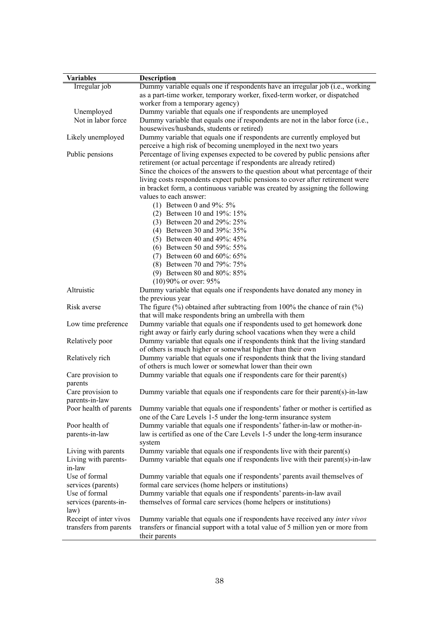| <b>Variables</b>       | <b>Description</b>                                                                                                                         |
|------------------------|--------------------------------------------------------------------------------------------------------------------------------------------|
| Irregular job          | Dummy variable equals one if respondents have an irregular job (i.e., working                                                              |
|                        | as a part-time worker, temporary worker, fixed-term worker, or dispatched                                                                  |
|                        | worker from a temporary agency)                                                                                                            |
| Unemployed             | Dummy variable that equals one if respondents are unemployed                                                                               |
| Not in labor force     | Dummy variable that equals one if respondents are not in the labor force (i.e.,                                                            |
|                        | housewives/husbands, students or retired)                                                                                                  |
| Likely unemployed      | Dummy variable that equals one if respondents are currently employed but                                                                   |
|                        | perceive a high risk of becoming unemployed in the next two years                                                                          |
| Public pensions        | Percentage of living expenses expected to be covered by public pensions after                                                              |
|                        | retirement (or actual percentage if respondents are already retired)                                                                       |
|                        | Since the choices of the answers to the question about what percentage of their                                                            |
|                        | living costs respondents expect public pensions to cover after retirement were                                                             |
|                        | in bracket form, a continuous variable was created by assigning the following                                                              |
|                        | values to each answer:                                                                                                                     |
|                        | (1) Between 0 and $9\%$ : 5%                                                                                                               |
|                        | (2) Between 10 and 19%: 15%                                                                                                                |
|                        | (3) Between 20 and 29%: 25%                                                                                                                |
|                        | (4) Between 30 and 39%: 35%                                                                                                                |
|                        | (5) Between 40 and 49%: 45%                                                                                                                |
|                        | (6) Between 50 and 59%: 55%                                                                                                                |
|                        | (7) Between 60 and $60\%$ : $65\%$                                                                                                         |
|                        | (8) Between 70 and 79%: 75%                                                                                                                |
|                        | (9) Between 80 and 80%: 85%                                                                                                                |
|                        | $(10)90\%$ or over: 95%                                                                                                                    |
| Altruistic             | Dummy variable that equals one if respondents have donated any money in                                                                    |
|                        | the previous year                                                                                                                          |
| Risk averse            | The figure $(\%)$ obtained after subtracting from 100% the chance of rain $(\%)$                                                           |
|                        | that will make respondents bring an umbrella with them                                                                                     |
| Low time preference    | Dummy variable that equals one if respondents used to get homework done                                                                    |
|                        | right away or fairly early during school vacations when they were a child                                                                  |
| Relatively poor        | Dummy variable that equals one if respondents think that the living standard<br>of others is much higher or somewhat higher than their own |
|                        | Dummy variable that equals one if respondents think that the living standard                                                               |
| Relatively rich        | of others is much lower or somewhat lower than their own                                                                                   |
| Care provision to      | Dummy variable that equals one if respondents care for their parent(s)                                                                     |
| parents                |                                                                                                                                            |
| Care provision to      | Dummy variable that equals one if respondents care for their parent(s)-in-law                                                              |
| parents-in-law         |                                                                                                                                            |
| Poor health of parents | Dummy variable that equals one if respondents' father or mother is certified as                                                            |
|                        | one of the Care Levels 1-5 under the long-term insurance system                                                                            |
| Poor health of         | Dummy variable that equals one if respondents' father-in-law or mother-in-                                                                 |
| parents-in-law         | law is certified as one of the Care Levels 1-5 under the long-term insurance                                                               |
|                        | system                                                                                                                                     |
| Living with parents    | Dummy variable that equals one if respondents live with their parent(s)                                                                    |
| Living with parents-   | Dummy variable that equals one if respondents live with their parent(s)-in-law                                                             |
| in-law                 |                                                                                                                                            |
| Use of formal          | Dummy variable that equals one if respondents' parents avail themselves of                                                                 |
| services (parents)     | formal care services (home helpers or institutions)                                                                                        |
| Use of formal          | Dummy variable that equals one if respondents' parents-in-law avail                                                                        |
| services (parents-in-  | themselves of formal care services (home helpers or institutions)                                                                          |
| law)                   |                                                                                                                                            |
| Receipt of inter vivos | Dummy variable that equals one if respondents have received any <i>inter vivos</i>                                                         |
| transfers from parents | transfers or financial support with a total value of 5 million yen or more from                                                            |
|                        | their parents                                                                                                                              |
|                        |                                                                                                                                            |